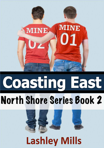

# **Coasting East North Shore Series Book 2**



## **Lashley Mills**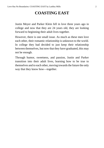#### **COASTING EAST**

Justin Meyer and Parker Klein fell in love three years ago in college and now that they are 24 years old, they are looking forward to beginning their adult lives together.

However, there is one small issue. As much as these men love each other, their romantic relationship is unknown to the world. In college they had decided to just keep their relationship between themselves, but now that they have graduated, this may not be enough.

Through humor, sweetness, and passion, Justin and Parker transition into their adult lives, learning how to be true to themselves and to each other, moving towards the future the only way that they know how—together.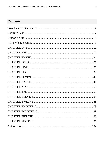#### **Contents**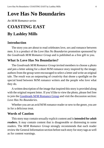## <span id="page-3-0"></span>**Love Has No Boundaries**

*An M/M Romance series*

## **COASTING EAST By Lashley Mills**

#### **Introduction**

The story you are about to read celebrates love, sex and romance between men. It is a product of the *Love Has No Boundaries* promotion sponsored by the *Goodreads M/M Romance Group* and is published as a free gift to you.

#### **What Is Love Has No Boundaries?**

The *Goodreads M/M Romance Group* invited members to choose a photo and pen a letter asking for a short M/M romance story inspired by the image; authors from the group were encouraged to select a letter and write an original tale. The result was an outpouring of creativity that shone a spotlight on the special bond between M/M romance writers and the people who love what they do.

A written description of the image that inspired thisstory is provided along with the original request letter. If you'd like to view the photo, please feel free to join the [Goodreads](http://www.goodreads.com/group/show/20149-m-m-romance) M/M Romance Group and visit the discussion section: *Love Has No Boundaries*.

Whether you are an avid M/M romance reader or new to the genre, you are in for a delicious treat.

#### **Words of Caution**

Thisstory may contain sexually explicit content and is**intended for adult readers.** It may contain content that is disagreeable or distressing to some readers. The *M/M Romance Group* strongly recommends that each reader review the General Information section before each story for story tags as well as for content warnings.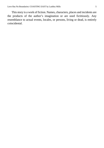This story is a work of fiction. Names, characters, places and incidents are the products of the author's imagination or are used fictitiously. Any resemblance to actual events, locales, or persons, living or dead, is entirely coincidental.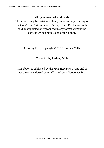All rights reserved worldwide.

This eBook may be distributed freely in its entirety courtesy of the *Goodreads M/M Romance Group*. This eBook may not be sold, manipulated or reproduced in any format without the express written permission of the author.

Coasting East, Copyright © 2013 Lashley Mills

Cover Art by Lashley Mills

This ebook is published by the *M/M Romance Group* and is not directly endorsed by or affiliated with Goodreads Inc.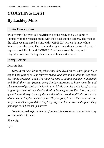## <span id="page-6-0"></span>**COASTING EAST By Lashley Mills**

#### **Photo Description**

Two twenty-four-year-old boyfriends getting ready to play a game of football with their friends stand with their backs to the camera. The man on the left is wearing a red T-shirt with "MINE 02" written in large white letters across the back. The man on the right is wearing a backward baseball cap and a red T-shirt with "MINE 01" written across his back, and is playfully grabbing his boyfriend's ass with his entire hand.

#### **Story Letter**

#### *Dear Author*,

*These guys have been together since they lived on the same floor their sophomore year of college four years ago. Real life and adult jobs keep them busy and stressed all week. They look forward to getting together with Brandt and Todd, their best friends, every Sunday afternoon to have some fun and play a game of football at the local park. A little exercise and a lot of razzing is good for them all but they're tired of hearing words like "gay, fag, and queer", even if they don't say them with malice. Brandt and Todd don't know about them so they've devised a plan. They're going to weartheir new shirtsto the park this Sunday and then they're going to kick some ass on the field. They just hope their friendship survives.*

*Isee this as being fun with lots of banter. Hope someone can see theirstory too and write it for me!*

*Sincerely,*

*Gyn*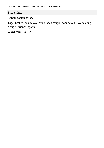#### **Story Info**

**Genre:** contemporary

**Tags:** best friends in love, established couple, coming out, love making, group of friends, sports

**Word count:** 33,029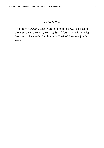#### *Author's Note*

<span id="page-8-0"></span>This story, *Coasting East* (North Shore Series #2,) is the standalone sequel to the story, *North of Sure* (North Shore Series #1.) You do not have to be familiar with *North of Sure* to enjoy this story.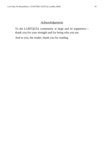#### *Acknowledgements*

<span id="page-9-0"></span>To the LGBTQUIA community at large and its supporters thank you for your strength and for being who you are.

And to you, the reader, thank you for reading.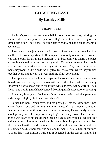### **COASTING EAST By Lashley Mills**

#### CHAPTER ONE

<span id="page-10-0"></span>Justin Meyer and Parker Klein fell in love three years ago during the summer after their sophomore year of college in Boston, while living on the same dorm floor. They'd met, become best friends, and had been inseparable ever since.

They spent their junior and senior years of college living together in a small two-bedroom apartment off campus, where only one of the bedrooms was big enough for a full size mattress. That bedroom was theirs, the place where they shared the same bed every night. The other bedroom had a twin size bed and two desks pressed up against the wall. They used that room as their study room, and if a bed was only two feet away from where they studied together every night, well, that was nothing if not convenient.

The appearance of having two separate bedrooms was important to them though. As much as they were in love with each other, they just weren't ready for anyone else to know, and asfar asthey were concerned, they were still best friends and nothing much had changed. Nothing much, except for everything.

And now, three years after having fallen in love, their physical appearances had changed slightly, but their hearts hadn't.

Parker had hazel-green eyes, and his physique was the same that it had always been—long and cut, with summer-tanned skin that never seemed to fade, no matter what time of year it was. In college, Parker rarely worried about getting haircuts, only bothering to get his sandy-brown hair trimmed once it was down to his shoulders. Since he'd graduated from college last year and was a little older now, he tried to be better about keeping up with it. Sort of. His hair length would fluctuate. It would be down past his ears almost brushing across his shoulders one day, and the next he would have it trimmed so short that it was almost a buzz cut. It depended on the seasons and on his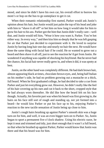mood, and since he didn't have his own car, his overall effort to borrow his mom's or hop on the bus to go someplace to get it cut.

When their romantic relationship first started, Parker would ask Justin's opinion about his hair, but Justin would just palm the top of his head and joke with him to "shave it all off" or bet him on how long it would take for him to grow his hair to his ass. Parker got the hint that Justin didn't really care—well that, and Justin would tell him, "Wear it how you want it, Parker. You're hot either way. In every way," and then kiss him so deeply that he was left gasping for air that Parker just decided to experiment with it. He loved to surprise Justin by having long hair one day and nearly no hair the next. He would have done the same thing with facial hair if he could. He so wanted to grow out a beard and then shave it all off, just to see the reaction he'd get from Justin. He wondered if anything was capable of shocking his boyfriend. But he never had the chance, his facial hair never really grew in, and when it did, it was spotty at best.

Justin, on the other hand was completely different. He had dark brown hair, almost appearing black at times, chocolate-brown eyes, and, being half Italian on his mother's side, he had no problem growing out a mustache or a thick, full beard. When he first graduated college, he had decided to take a cue from Parker and just let everything grow out. However, he didn't really like the feel of his hair covering up his ears and cut it back to the short, cropped style that he had always worn thereafter. He did like how the beard felt on his face though. Actually, hisfavorite part was when his beard wasfirst growing in, the hairs on his face still sort of rough and standing up, not yet formed into a beard—he would kiss Parker or put his face up to his, enjoying Parker's reaction to the new tactile sensation of Justin being up close to him.

Justin's rough hairs brushing up against Parker's smooth skin was a huge turn-on for him, and well, it was an even bigger turn-on to Parker. So, Justin began to sport a permanent five o'clock shadow. Using his electric razor, he kept it neat and trimmed and tidy, just short enough that it wasn't a full beard, so that when he brushed up against Parker, Parker would know that Justin was there and that his beard was for him.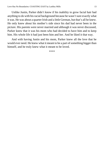Unlike Justin, Parker didn't know if his inability to grow facial hair had anything to do with his racial background because he wasn't sure exactly what it was. He was about a quarter Irish and a little German, but that's all he knew. He only knew about his mother's side since his dad had never been in the picture. His parents were never married and although it was never discussed, Parker knew that it was his mom who had decided to have him and to keep him. His whole life it had just been him and her. And he liked it that way.

And with having Justin and his mom, Parker knew all the love that he would ever need. He knew what it meant to be a part of something bigger than himself, and he truly knew what it meant to be loved.

\*\*\*\*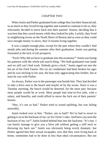#### CHAPTER TWO

<span id="page-13-0"></span>When Justin and Parker graduated from college they lost their financial aid, so as much as they loved living together and wanted to continue to do so, they reluctantly decided to move back into their parents' houses, deciding that it was best that they saved money while they looked for jobs. Luckily, they lived in neighboring towns on the North Shore of Boston and as soon as they could save enough money to move, they'd resume living together.

It was a simple enough plan, except for the part where they couldn't find steady jobs and during the summer after their graduation. Justin was getting frustrated at the lack of job prospects.

"Fuck! Why did we have to graduate into this economy?" Justin waslosing his patience with the whole job search thing. "We both graduated cum laude and we still can't find work. Nobody gives a fuck," Justin raged out into the hot air of his Ford Taurus. His car air conditioner had been broken for ages and he was sticking to his seat, the heat only aggravating him further, but at least he was with Parker.

As always, Parker was in the passenger seat beside him. They had decided to take a drive east to the beach and maybe sit by the ocean. Since it was a Tuesday morning, the beach would be deserted, for the most part, because most people would be at work. Most people had nine-to-five jobs, with a salary, and benefits, and could afford to move the fuck out of their parents' houses.

"Hey, it's not so bad." Parker tried to sound uplifting, but was failing miserably.

Justin looked over at him. "Parker, not so bad?! We've had to resort to getting it on in the backseat of my car for Christ'ssake. And have you seen the backseat of my car?" Justin looked behind him into the backseat. "It's tiny. I can barely manage to give you a blow job without getting a stiff neck or throwing my back out." Justin was obviously being overly dramatic, but Parker agreed that their sexual escapades, now that they were living back at home, sometimes had to be done in less than ideal circumstances. But not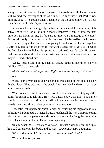always. They at least had Parker's house to themselves while Parker's mom still worked the overnight shifts as a nurse. In fact, now that Parker was thinking about it, he couldn't help butsmile at the thought of how they'd been spending a lot of their nights together.

Parker reached up and gently rubbed at the nape of Justin's neck. "Oh, baby, I'm sorry," Parker let out in mock sympathy. "Don't worry, the next time you go down on me, I'll be sure to give you a massage afterwards," Parker said coyly, continuing to rub Justin's neck. He leaned back in his seat a bit, as if he thought that since he was giving Justin the offer of a massage that Justin should give him the offer of what would cause him to get a stiff neck in the first place. Parker licked his lips in anticipation of Justin's reply. He wasn't really serious about this, but since Justin was just about always ready to go, maybe he had enticed him.

"Okay," Justin said looking back at Parker, focusing intently on his wet full lips. "Take off your shirt."

#### *What? Justin was going for this? Right now in the beach parking lot? Yes!*

"Sure." Parker yanked his shirt up and over his head. It was an old T-shirt that he always liked wearing to the beach. It was so faded and worn that it was almost see-through.

"Yeah, okay." Justin leaned over toward Parker, who was just dying at this point for Justin to touch him. How was Justin okay with this? But Parker couldn't care about that right now. All he knew was that Justin was leaning slowly over him, slowly, slowly, almost there, come on…

But Justin just kept leaning past Parker, not brushing his thigh or his waist or his now hardening dick. Instead,Justin reached all the way past Parker until his hand reached the passenger side door handle, and he flung the door wide open. This was so not what Parker was expecting.

"Justin, what the…? What are you…?" But Justin was just smiling up at him still spread over his body, and he was—*Damn it, Justin.* Laughing.

"What did you think? I was going to blow you here? Now?"

"You did that on purpose."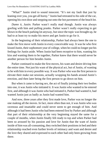"What?" Justin tried to sound innocent. "It's not my fault that just by leaning over you, you get all horny." Justin had retreated to his side of the car, opening his own door and stepping out onto the hot pavement of the beach lot.

*Damn it, Justin.* Parker wasn't really mad though. Justin was always goofing with him and pulling pranks. Parker wasn't really expecting to get blown in the beach parking lot anyway, but since the topic was brought up, he had to at least try to make his move and get Justin to go for it.

In the beginning of their relationship, Parker had always been the one to make the first move with Justin in every conceivable way. It was he who first kissed Justin, their sophomore year of college, when he could no longer put his feelings for Justin aside. When Justin had been receptive to him, wanting his kiss and wanting them to be together, Parker knew that there would never be another person for him besides Justin.

Parker continued to make the first moves, his want and desire driving him the entire time. Not just his want of the physical act, but of Justin, of wanting to be with him in every possible way. It was Parker who wasthe first person to elevate their make out sessions, actually wrapping his hands around Justin's erection, and then later being the first person to go down on him.

But when it came to having sex, the act of finally joining their two bodies into one, it was Justin who initiated it. It was Justin who wanted to be entered first, and although it was Justin who had initiated it, Parker had wanted it, had wanted Justin just as badly as Justin had wanted him.

And now, three years after they first made love, Parker was no longer the one making all the moves. In fact, more often than not, it was Justin who was ravenous and insatiable and could never seem to get enough of him. And although it had been Justin who had been entered first by Parker and although that part of their relationship at the very beginning stayed the same for a couple of months, when Justin finally felt ready to top and when Parker had been so aroused by his passion and love for Justin that the want of Justin inside of him was all-consuming, they switched their positions in bed and their relationship reached even further levels of intimacy and want and desire and the love they shared and expressed to each other had only been growing from there.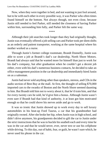Now, when they were together in bed, and not wanting to just fool around, but to be with each other in every possible way, it was Parker who often times found himself on the bottom. Not always though, not even close, because Justin still needed to feel Parker, still needed the closeness of having Parker within him, surrounding him fully, and Parker felt the same way.

\*\*\*\*

Although their job searches took longer than they had originally thought, Justin was eventually offered a job selling cars and Parker took per diem shifts as an orderly and patient transporter, working at the same hospital where his mother worked as a nurse.

Through Justin's former college roommate, Brandt Donnelly, Justin was able to score a job at Brandt's dad's car dealership, North Shore Motors. Brandt had always said that he wanted more for himself than just to work for his dad's company, but after graduation when he couldn't get a decent job either, even with his dad's numerous business contacts, he decided to take an office management position in the car dealership and immediately hired Justin on as a salesman.

Justin had never sold anything other than speakers, stereos, and CDs in the audio section of Best Buy at the mall. At first, the thought of selling \$70,000 imported cars to the swanks of Boston and the North Shore seemed daunting to him. But Brandt told him not to worry about it, that he'd train him, and that for every twenty cars he sold, he'd give him a bonus. Although Justin wasn't even sure if Brandt had that kind of authority, it at least got him motivated enough so that he could shove his nerves aside and go to work.

It was so ironic that Justin showed up to work every day to sell luxury automobiles in his beat-up Ford Taurus, a car that his grandmother had originally owned. After she broke her hip, when Justin was in high school, and didn't drive anymore, his grandparents decided to gift the car to Justin under the strict instructions that he was to buckle his seatbelt each and every time he was in the car and that he would never, ever, never text or use his cellphone while driving. To this day, out of habit, fear, or guilt, he wasn't sure which, he never used his phone in the car.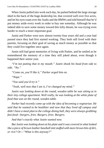When Justin pulled into work each day, he parked behind the large storage shed in the back of the huge dealership lot, that covered well over five acres, and let his eyes roam over the Audis and the BMWs and told himself that he'd put money aside every week in order to buy one someday. Although he was indeed able to save some money toward this lofty dream, he was trying even harder to reach a more important goal.

Justin and Parker were now almost twenty-four years old and a year had passed since they had first started working. They both still lived with their parents, focusing on their goal of saving as much money as possible so that they could live together once again.

Justin still had great memories of living with Parker, and he smiled as he remembered the memory of a time they still joked about, even though it happened their senior year.

*"I'm not putting that in my mouth." Justin shook his head from side to side. "No."*

*"Come on, you'll like it," Parker urged him on.*

*"Nope."*

*"You said you'd try it."*

*"Yeah, well now that I see it, I've changed my mind."*

*Justin was looking down at the round, wooden table he was sitting at in their tiny college apartment. Well really, he was looking at the white plate of food that was on the round, wooden table.*

*Parker had recently come up with the idea of becoming a vegetarian. He said that he wanted to be healthier and now that they lived off campus and didn't have a meal plan to the college dining hall, they were always grabbing fast food—burgers, fries. Burgers, fries. Burgers.*

*And that's exactly what Justin wanted now.*

*But Justin waslooking down at his plate and it was covered in what looked like a piece of brown leather baseball mittstuffed with more brown bits of dirt, or rice? Or—"What is this anyway?"*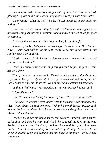*"It's a portobello mushroom stuffed with quinoa," Parker answered, placing his plate on the table and taking a seat directly across from Justin.*

*"Keen-what?"* What the hell? *"Dude, if I can't spell it, I'm definitely not eating it."*

*"Yeah, well…" Parker was fidgeting with his fork in his hand, grimacing down at hisstuffed mushroom creation, not looking too thrilled at the prospect of eating it.*

No way is this vegetarian thing going to last*, Justin thought.*

*"Come on, Parker, let'sjust go to Five Guys. We need bacon. On a burger. Now." Justin was half out of his seat, ready to go out to eat instead, but Parker wasn't going for it.*

*"Justin, come on. I said I wasn't going to eat meat anymore and you said you were cool with it."*

*"Yeah, but I never said that I'd stop eating meat." Nope. Burgers. Bacon. Burgers. Now.*

*"Yeah, because you never could. There's no way you would make it as a vegetarian. You probably couldn't even go a week without eating meat," Parker said to him, his mouth still void of any fungus among-us creation.*

*"Is that a challenge?" Justin perked up at what Parker had just said.*

*"More like a bet."*

*"Yeah?" Justin was loving the sound of this. "What are the stakes?"*

*"The stakes?" Parker's eyes looked around the room as he thought of his idea. "How about, the first one to put flesh in his mouth loses," Parker said, looking back across the table to Justin, deliberately making his answer sound like a double entendre.*

*"Yeah?" Justin ran hisfoot underthe table overto Parker's. Justin started at his foot, and then his shin, and slowly he dragged his foot up, up over Parker's knee and onto his thigh, rubbing it back and forth, and right when Parker closed his eyes waiting to feel Justin's foot nudge his cock, Justin abruptly pulled away and dropped his foot back to the floor. Parker's eyes shot open.*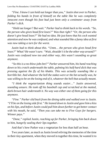*"Fine. I know I can hold out longer than you," Justin shot over to Parker, folding his hands in front of himself on the table like he was completely innocent even though his foot had just been only a centimeter away from Parker's dick.*

*"Hold out longer? But wait." Parker had to think back to his words. "So, the person who gives head first loses?" Was that right? "Or, the person who doesn't give head loses?" He had no idea. He just knew that his cock wanted attention and now he was confused, and whatsounded like a funny idea at first was now taking a turn for the worst.*

*Justin had to think about this. "Umm… the person who gives head first loses?"* What? He wasn't sure. "Wait, shouldn't it be the other way around?" *Justin was confused now too and either way, this wasn't sounding so great anymore.*

*"So this is a no-blow-jobs bet?" Parker answered him, his hand reaching down to his crotch underneath the table, palming his half-hard dick that was pressing against the fly of his khakis. This was actually sounding like a horrible bet. And whatever the hell the stakes were or the bet actually was, he was willing to be on the losing end of it, whatever the hell that actually meant.*

*"I think the vegetarianism thing sounds easier…" Justin answered, sounding unsure. He took off his baseball cap and scratched at the matted, dark-brown hair underneath it. No way was either one of them going for this anymore.*

*"Fine." Parker slid back from the dining table and walked over to Justin. "I'll be on the losing side first." He leaned down to Justin and gave him a kiss on hislips, and before Justin could pull him down furtherto get better contact with his mouth, he said, "Then you can take me to Five Guys for burgers. Winner pays."*

*"Done," replied Justin, reaching up for Parker, bringing him back down to him, hungrily sealing their lips together.*

And that's how Parker was a vegetarian for less than half an hour.

Two years later, as much as Justin loved reliving the memories of the time in their tiny apartment, when they moved in together this time, he wanted it to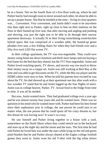be in a house. Not on the fourth floor of a five-floor walk-up, where he and Parker barely had enough room to move around each other, let alone be able to set up a proper house. Not that he minded at the time—living in close quarters was… Convenient. Very convenient, and Justin didn't want to be anywhere else than right next to Parker, right up close to him on their mattress on the floor or their busted-up love seat, that after moving and angling and pushing and shoving, was just the right size to be able to fit through their narrow apartment doorways. It actually fit in their living room/dining room/kitchen hybrid space that was comprised of a wooden table, the busted-up green pleather love seat, a few folding chairs for when they had friends over and a fifty-five-inch LED flat screen TV.

In their college apartment, the TV was non-negotiable. They could save money using hand-me-down furniture and thrift store lamps and not buying a bed frame for the bed that they shared, but the TV? Non-negotiable. Justin and Parker loved watching sports, TV shows, and movies way too much to throw their money away on a crappy set. Justin was still working at Best Buy at the time and was able to get discounts on the TV, while the Blu-ray player and the HDMI cables were next to free. When he told his parents how excited he was about the TV, his dad showed up at their apartment one day after work with a low wooden TV stand that he and Justin lugged up the four flights of stairs. Justin was in college heaven. Parker. TV. Actual food in the fridge from time to time. It was all he needed.

But now, Justin wanted more. They had graduated college over a year ago and he was almost twenty-four years old, and he wanted more. There was no question in his mind who he wanted more with. Parker had been his best friend since their sophomore year in college, the one person he could turn to no matter what, the one person that he could spout off his crazy dreams to, but this dream he was having now? It wasn't so crazy.

He saw himself and Parker living together in a house with a yard, somewhere on the North Shore where they could stretch out in the backyard and stare up at the night sky and the moon and the stars. The first time he had told Parker he loved him was under the stars while lying on the red and green plaid blanket that he and Parker always shared at the Eagles college football games they went to. Justin wore his red T-shirt with the big white letters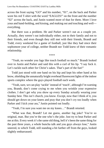across the front saying "GO" and his number, "01", on the back and Parker wore his red T-shirt with the word "EAGLES!" on the front and the number "02" across the back, and Justin wanted more of that for them. More I love yous and hand-holding, and kissing, and making out and touching and well everything.

But there was a problem. He and Parker weren't out as a couple yet. Actually, they weren't out individually either, not to their family and not to their friends, and even though they still met with their friends, Brandt and Todd, every weekend for a game of football, just like they had since their sophomore year of college, neither Brandt nor Todd knew of their romantic relationship.

\*\*\*\*

"Yeah, no wonder you fags like touch football so much." Brandt looked over to Justin and Parker and said this with a curl of his lip. "I say fuck it. Let's tackle each other for Christ's sakes. That's part of the fun!"

Todd just stood with one hand on his hip and kept his other hand at his brow,shielding the unnaturally bright overhead fluorescent lights of the indoor sports complex where the guys played football each week.

"Yeah, sure, we can play 'tackle' instead of 'touch', although I'm warning you, Brandt, don't come crying to me when you wrinkle your expensive clothes. I don't get why you show up every Sunday actually wearing your Sunday best. This isn't church, you know. Except, now that I think of it, you should get down on your knees and pray that you don't cry too loudly when Parker and I kick your ass," Justin pointed out loudly.

"Yeah, I'm sure you want me on my knees…" Brandt retorted.

"What was that, Brandt? Let me guess, another fag joke? You're so original, man. But you're the one who's the joke. Just try to beat Parker and me at this. Every week it's the same old thing, hell it's been the same thing for the past three years, a whole buncha talk and you guys always lose," Justin sneered, to which Todd, still standing a bit farther off from the guys, looked slightly embarrassed.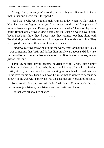"Sorry, Todd, I mean you're good, you're both good. But we both know that Parker and I were built for speed."

"And that's why we're gonna kick your ass today when we play tackle. Your fast legs aren't gonna save you from my two hundred and fifty pounds of muscle. Now are you and Parker gonna man up or what? Time to play some ball!" Brandt was always giving Justin shit. But Justin always gave it right back. That's just how they'd been since they roomed together, along with Todd, during their freshman year of college and it was always in fun. They were good friends and they never took it seriously.

Brandt was always throwing around the word, "fag" or making gay jokes. It was something that Justin and Parker didn't really care about and didn't take serious offense to because they understood that Brandt was harmless, he was just an imbecile.

Three years after having become boyfriends with Parker, Justin knew without a shadow of a doubt who he was and it was all thanks to Parker. Justin, at first, had been at a loss, not wanting to use a label to mark his new found love for his best friend, but now, he knew that he wanted to because he knew who he was with Parker; he was the absolute best version of himself.

Some trepidation and fear still held Justin back. To the world, he and Parker were just friends, best friends and not Justin and Parker.

But that was all about to change.

\*\*\*\*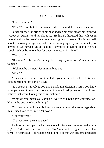#### CHAPTER THREE

<span id="page-23-0"></span>"I told my mom."

"What?" Justin felt like he was already in the middle of a conversation.

Parker pinched the bridge of his nose and ran his hand across his forehead. "About us, Justin. I told her about us." He hadn't discussed this with Justin beforehand and he wasn't sure how he was going to take it. "Justin, you talk about us moving in together, and I'm not calling myself your roommate, not anymore. We never even talk about it anymore, us telling people we're a couple. We've been together for over three years, it's time."

"Yeah, but."

"But what? Justin, you're acting like telling my mom wasn't my decision to make."

"Well maybe it's not." Justin mumbled out.

"What?"

"Since it involves me, I don't think it is your decision to make," Justin said looking straight into Parker's eyes.

"It's because it involves you that I made this decision. Justin, you know what you mean to me, you know what this relationship means to me. I can't believe that we're having this conversation."

"What do you mean you can't believe we're having this conversation? You're the one who brought it up."

"No, Justin, what I mean is how can we not be on the same page about this? I need you to tell me right now."

"Tell you what?"

"That we're on the same page."

Justin scratched up at the hairline above his forehead. Was he on the same page as Parker when it came to this? To "come out"? Uggh. He hated that term. To "come out" like he had been hiding, like this was all some deep dark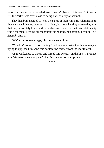secret that needed to be revealed. And it wasn't. None of this was. Nothing he felt for Parker was even close to being dark or dirty or shameful.

They had both decided to keep the status of their romantic relationship to themselves while they were still in college, but now that they were older, now that they absolutely knew without a shadow of a doubt that this relationship was it for them, keeping quiet about it was no longer an option. It couldn't be. *Enough, Justin.*

"We're on the same page," Justin answered him.

"You don't sound too convincing." Parker was worried that Justin was just trying to appease him. And this couldn't be farther from the reality of it.

Justin walked up to Parker and kissed him sweetly on the lips. "I promise you. We're on the same page." And Justin was going to prove it.

\*\*\*\*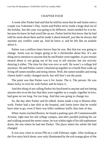#### CHAPTER FOUR

<span id="page-25-0"></span>A week after Parker had said that he told his mom that he and Justin were a couple was Valentine's Day. Justin and Parker never made a huge deal out of the holiday, but this year was going to be different. Justin needed for it to be, because he knew he had acted like an ass. Parker had let him know that he had told his mom about them and he made it about himself, just like he always did anytime any conflict came up. And he knew it, and he felt like an asshole about it.

Parker was a million times braver than he was. But that too was going to change. Justin was no longer going to be a chickenshit about this. It's one thing not to mention to anyone that he and Parker were together, to just remain neutral about it, not going out of his way to tell anyone, but not actively denying it either. The time for that was over as well. He wasn't a college kid anymore. He and Parker weren'tshacked up together in a fourth floor walk-up living off ramen noodles and string cheese. Well, the ramen noodles and string cheese hadn't really changed much, but still that's not the point.

The point was that Parker was it for Justin. The it. The person. He was damn lucky to even be with Parker and he knew it.

And this thing of not calling Parker his boyfriend to anyone and not letting anyone else in on the fact that they were together as a couple, together in love, had gone on too long. Far too long. And that was going to change too.

So, the day after Parker and he talked, Justin made a trip to Boston after work. Parker had a late shift at the hospital, and Justin knew that he would have time to go, even if there was killer rushhour traffic that time of day.

When Justin reached Boston, he found a parking spot off Commonwealth Avenue, right near his old college campus, and after parallel parking his car and walking around the street corner, he was within sight of his old sophomore dorm, the one where he had met Parker. The place where his whole life had changed.

It was now close to seven PM on a cold February night. After looking at the five-story brick dorm, now only illuminated by the soft orange glow of the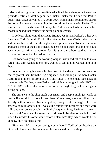curbside street lights and the pole lights that lined the walkways on the college grounds, Justin couldn't help but feel lucky. Lucky that he had met Parker. Lucky that Parker only lived five doors down from him his sophomore year in the dorm. And more than anything, he just felt lucky to be with Parker. That was the truth. He had always felt lucky that Parker wanted to be with him, had chosen him and that feeling was never going to change.

In college, along with their friend Brandt, Justin and Parker's other best friend was Todd Schmidt. Todd still worked at the custom T-shirt shop that he and Parker had worked at throughout college, and since Todd was now in graduate school at their old college, he kept his job there, making his hours even more part-time to account for his graduate school studies and the observation hours that he had to clock in.

But Todd was going to be working tonight. Justin had called him to make sure of it. Justin wanted to see him, wanted to talk to him, wanted him to be there.

So, after shoving his hands further down in the deep pockets of his wool coat to protect them from the frigid night air, and walking a few more blocks, Justin found himself in front of the T-shirt shop. The one that specialized in custom-made T-shirts, where Parker had originally designed their "GO" and "EAGLES!" T-shirts that were worn to every single Eagles football game during college.

The entrance to the shop itself was small, and people might just walk on past it if they didn't know it was there. Oftentimes, the shop didn't deal directly with individuals from the public, trying to take on bigger clients in order to do bulk orders, but it was still a family-run business and they were still happy to service people's individual requests. Plus, Justin was personal friends with Todd, and he knew that Todd would be able to handle his rush order. He needed his order done before Valentine's Day, which would be on Sunday, only four days away.

"Hey, man. What are you doing around here?" Todd asked, hearing the little bell chime over the door when Justin walked into the shop.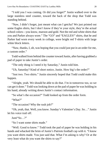"I told you I was coming. Or did you forget?" Justin walked over to the large stainless steel counter, toward the back of the shop that Todd was standing behind.

"Naw, I didn't forget, just meant what can I getcha? We just printed out some Eagles shirts, but I don't know if they're your style, they're the actual school colors—you know, maroon and gold. Not the red and white shirts that you and Parker always wore." The "GO" and "EAGLES!" shirts, that he and Parker had worn every week in college, were bright red T-shirts with large white block letters.

"Naw, thanks, I, uh, was hoping that you could just put in an order for me, a custom order."

Todd walked from behind the counter toward Justin, after having grabbed a pad of paper to take Justin's order.

"The only thing is I need it by Saturday," Justin told him.

"Uh, Saturday? Kind of short notice, Justin. How big's the order?"

"Just two. Two shirts." Justin sincerely hoped that Todd could make this happen.

"Alright, yeah. We should be able to do that. I'm in tomorrow too, so we can get it done." Todd waslooking down at the pad of paper he was holding in his hand, already writing down Justin's contact information.

"So what's the occasion?" Todd looked up from the order form.

"What?"

"The occasion? Why the rush job?"

"Oh, yeah, that. Well, you know. Sunday's Valentine's Day. So…" Justin let his voice trail off.

Justi"So…?"

"So I want some shirts made."

"Well. Good to know." Todd took the pad of paper he was holding in his hands and whacked the brim of Justin's Patriots football cap with it. "I know you want shirts made. You just said that. What I'm asking is why? Or at the very least what do you want the shirts to say?"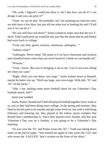"Oh, yeah. I figured I could just draw it. Isn't that how you do it? I can design it and you can print it?"

"Yeah, we can do that. We probably can't do anything too intricate since we only have a few days, but just tell me what you're looking for and I'll tell you if we can do it."

"Do you still have red shirts?" Justin wanted to make sure that the two Tshirts Todd would print up would be red, just like the shirts that he and Parker had worn back in college.

"Yeah, red, blue, green, wisteria, chartreuse, aubergine…"

"Auburn what?"

"Aubergine. Never mind. The point is if we have chartreuse and wisteria and a hundred more colors that you never heard of, I think we can handle red."

"Wiseass."

"Yeah, I know. But you're bringing it out in me. You're not even telling me what you want."

"Right. Well, two red shirts, size large." Justin looked down at himself, maybe he better size up. "Well one large, one extra-large. With uhh, '01' and '02' on the backs."

"Ahh, I see, making some more football shirts for our Valentine's Day football match, huh?"

Justin just nodded.

Justin, Parker, Brandt and Todd still played football together every week or so, just as they had been doing since college. In the spring and summer, they liked to hit the park to be outside and get some fresh air, but with it still being February and freezing out, they played in the indoor sports complex that Brandt had a membership to. Since they played every Sunday and this year Valentine's Day was on a Sunday, it was going to be a Valentine's Day matchup.

"So you wear the '01' and Parker wears the '02'." Todd was taking down notes on the pad of paper. "Just remind me again of who wears the 'GO' and who wears the 'EAGLES!' that's written on the front of the shirts."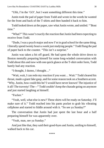"Uhh, I'm the 'GO', but I want something different this time."

Justin took the pad of paper from Todd and wrote in the words he wanted for the front and back of the T-shirts and then handed it back to him.

Todd looked down at the paper, saw what Justin wrote, and smiled. "Bout" time."

"What?" This wasn't exactly the reaction that Justin had been expecting to receive from Todd.

"Dude, I was a psych major and now I'm in grad school for the same thing. I literally spend twenty hours a week juststudying people." Todd flung the pad of paper back to the counter. "This isn't a surprise."

Justin was taken a bit off guard. He had spent the whole drive down to Boston mentally preparing himself for some long-winded conversation with Todd about this and now with one quick glance at the T-shirt order form, Todd barely had any reaction.

"I thought, I dunno, I thought…"

"Wait, wait, I can redo my reaction if you want… Wait." Todd cleared his throat, made a giant fake gasp, and forsome reason took on a Southern accent. "Why, Justin, how could this be? I would have never known! The injustice of it all! The travesty! The—" Todd couldn't keep the charade going on anymore and just started laughing at himself.

"Fucker."

"Yeah, well, what else is new? These shirts will be ready on Saturday. I'll make sure of it." Todd reached into his pants pocket to grab his vibrating cellphone and started to fiddle around with it. "So see ya Sunday?"

The conversation that Justin had just spent the last hour and a half preparing himself for was apparently over.

"Yeah, man, see ya Sunday."

And just like that, they said their good-byes and Justin, smiling to himself, walked back to his car.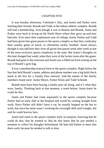#### CHAPTER FIVE

<span id="page-30-0"></span>It was Sunday afternoon, Valentine's Day, and Justin and Parker were meeting their friends, Brandt and Todd, at the indoor athletic complex. Brandt still had a membership, even though it was in Boston and Brandt, Justin and Parker were back to living on the North Shore where they grew up and now had jobs. Ever since their sophomore year of college, Justin, Parker and Todd had been given free guest passes to the sports complex so that they could play their weekly game of touch, or oftentimes tackle, football. Justin always thought it was odd how they were all given free passes week after week at one of the most exclusive sports complexes in the state. But Justin's thoughts on this had changed last week, when they were in the locker room after the game. Brandt had gone to the restroom and Justin saw a filled out form resting on the top of Brandt's gym bag.

It was a membership renewal form to the sports complex. Right below the line that held Brandt's name, address and phone number was a big bold check mark in the box for a Family Pass renewal. And the names of the family members listed were: Justin Meyer, Parker Klein and Todd Schmidt.

Brandt must have been buying a family pass all along, and it's what they were, family. Thinking back to that moment, a week before, Justin knew he could do this.

Justin and Parker had come separately to the sports complex because Parker had an early shift at the hospital and would be coming straight from work. Since Parker still didn't have a car, he usually hopped on the bus to work, but since his mom wasn't working the overnight shift until tonight, she said he could borrow hers.

Justin had come to the sports complex early on purpose, knowing that he could do this, that he wanted to. But he also knew that he just needed a moment to collect his thoughts beforehand. He had told Parker to meet him there early because he needed to talk to him.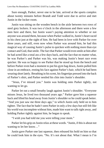Sure enough, Parker, never one to be late, arrived at the sports complex about twenty minutes before Brandt and Todd were due to arrive and met Justin in the locker room.

Justin was sitting on the wooden bench in the aisle between two rows of steel grey lockers. It was two o'clock in the afternoon and there were a few men here and there, but Justin wasn't paying attention to whether or not anyone was around them, because when Parker walked in,Justin's heart raced in his chest just at the sight of him. He had been in love with Parker for over three years, and still, even now when Parker was around him, he had this magical way of causing Justin's pulse to quicken with nothing more than eye contact and God, thatsmile. The fact that Parker would even smile at him after he had acted like a total ass a few days back, and the fact that no matter what, he was Parker's and Parker was his, was making Justin's heart race even quicker. He was so happy to see Parker that he stood up from the bench and before Parker even had a moment to put his gym bag down, Justin pulled him close in an embrace, resting his face against Parker's hair, which he had been wearing short lately. Breathing in his scent, his fingertips pressed into the back of Parker's shirt, and Parker nestled his chin into Justin's shoulder.

"Jesus, I've missed you." Justin was holding onto Parker tightly, not wanting to let go.

Parker let out a small breathy laugh against Justin's shoulder. "Everyone misses Jesus, he lived two thousand years ago." Parker gave him a squeeze back and lifted his head away from Justin's shoulder so he could speak better. "And you just saw me three days ago," to which Justin only held on to him tighter. The fact that he hadn't seen Parker in only a few days but still felt like his world was incomplete without him, made him want to talk right away, and holding Parker tightly against him, he began to speak.

"I wish you had told me you were telling your mom."

Parker let his grip on Justin relax at these words. "Justin, if this is about not wanting to let her know…"

Justin gave Parker one last squeeze, then released his hold on him so that he could look him in the eyes. "No. It's not about that. What I mean is I'm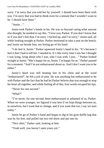sorry. I'm sorry that you told her by yourself. I should have been there with you. I'm sorry that you had to think even for a minute that I wouldn't want to be. I should have been."

"Justin…"

Justin took Parker's hands in his. He was so beyond caring what anyone else thought, he needed to say this. "I love you, Parker. If you don't know that or if you don't feel that, I'm sorry. I fucked up, and I'm sorry," Justin said, all while looking straight at Parker. Parker motioned to take a seat on the bench, and Justin sat beside him, not letting go of his hand.

"I do feel it, Justin." Parker squeezed Justin's hand in his. "It's because I feel it that I had to tell her. I needed to. It's like every time I saw her I thought I was lying, lying about who I was, who I was with. I just…" Parker looked straight at Justin. "She's happy for us, Justin. I'm happy for us." Parker paused for a moment. "And I'm not embarrassed about us. And I don't want you to be either."

Justin's heart was still beating fast in his chest and at the word "embarrassed", he felt a jolt of pain. He was anything but embarrassed to be with Parker and the fact that he had let Parker believe that was enough to stop his heart all together, and while feeling all of this, four words escaped his lips.

"Never for one second."

"What?"

"I've never, for one second, been embarrassed or ashamed of us, Parker. When we were younger, we figured it was best if we kept things between us, to ourselves, but I want that to change, and if you want that too, I say we start today."

Justin let go of Parker's hand and began to dig in his gym duffle bag that was by his feet, and pulled out two red shirts and put one on.

"Nice shirt," Parker said, looking at him.

"Yeah well, you haven't seen yours yet."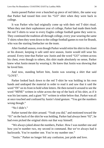Justin passed Parker over a bunched up piece of red fabric, the same way that Parker had tossed him over his "GO" shirt when they were back in college.

It was Parker who had originally come up with their red T-shirt ritual. When they met their sophomore year of college, Parker had made them both the red T-shirts to wear to every Eagles college football game they went to. They continued the tradition all through college, every year wearing the same T-shirts when they went down to the college football games to root for Brandt. who was the starting linebacker on the team.

After football season, even though Parker would retire his shirt to his closet or his drawer, keeping it safe until next season, Justin would still wear his around. Every time that Parker saw Justin and the word "GO" written across his chest, even though to others, this shirt made absolutely no sense, Parker knew what Justin meant by wearing it. He knew that Justin was showing that he loved him.

And now, standing before him, Justin was wearing a shirt that said "LOVE".

Parker looked back down to the red T-shirt he was holding in his own hands and undraped the material in order to read it and saw that it said the word "IN" on its front in bold white letters. He then turned it around to see the word "MINE" written in white across the top of the back of his shirt, as if it was his last name, and a giant "01" written in white below that. Parker was all at once touched and confused by Justin's kind gesture. "You got the numbers wrong though."

"No I didn't."

Parker turned the shirt around. "Yeah you did," and motioned toward the "01" on the back of the shirt he was holding. Parker had always been "02", he had even picked the original shirts out that way himself.

"We always joked about the numbers, Parker. How I was number one and how you're number two, my second in command. But we've always had it backwards. You're number one. You're my number one."

"Justin." Parker no longer felt any confusion, just pride and love.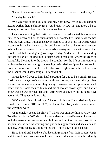"I want to make sure you're ready, but I want for today to be the day."

"The day for what?"

"We wear the shirts out. You and me, right now." With Justin standing next to Parker their T-shirt phrase would read "IN LOVE" and there'd be no more question as to how they felt about each other.

This was something that Justin had wanted. He had wanted this for a long time, to be open and honest, but as much as he wanted this, there never seemed to be the right time. Although he never seemed to be at a loss for words, when it came to this, when it came to him and Parker, and what Parker really meant to him, he never seemed to have the words when trying to share this with other people. But that was all going to change. Today. And now as he was standing in front of Parker, looking into Parker's hazel-green eyes, where the green so beautifully blended into the brown, he couldn't for the life of him come up with one decent reason to go on keeping their relationship to themselves for even one more day. He still felt a loss for words right now in the locker room, the T-shirts would say enough. They said it all.

Parker looked over to him, half expecting for this to be a prank. He and Justin were always joking around with each other, and even though they weren't in college anymore, they always managed to pull pranks on each other, but one look back to Justin and his chocolate-brown eyes, and Parker knew that he was serious. He and Justin were absolutely on the same page about this. They were doing this.

"We're switching shirts though." Parker told Justin. Their relationship was equal. There was no "01" and "02", but Parker had always liked their numbers the way they were.

Justin quickly peeled his shirt off, which was snug for him anyway since Todd had made the "02" shirt in Parker'ssize and passed it over to Parker and took the extra-large one Parker was holding and put it on. Parker took off the hospital scrubs he was wearing and put on his gym pants and sneakers, and quickly, while facing Justin he pulled the T-shirt down over his head.

Since Brandt and Todd were both coming straight from their houses, Justin and Parker knew that they would just come to the sports complex already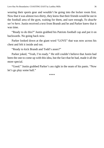wearing their sports gear and wouldn't be going into the locker room first. Now that it was almost two-thirty, they knew that their friends would be out in the football area of the gym, waiting for them, and sure enough, *Yo douche we're here.* Justin received a text from Brandt and he and Parker knew that it was time.

"Ready to do this?" Justin grabbed his Patriots football cap and put it on backwards. No going back now.

Parker looked down at the giant word "LOVE" that was now across his chest and felt it inside and out.

"Ready to kick Brandt and Todd's asses?"

Parker joked, "Yeah, I'm ready." He still couldn't believe that Justin had been the one to come up with this idea, but the fact that he had, made it all the more special.

"Good." Justin grabbed Parker's ass right in the seam of his pants. "Now let's go play some ball."

\*\*\*\*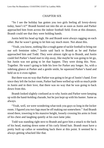# CHAPTER SIX

"So I see the holiday has gotten you two girls feeling all lovey-dovey today, hasn't it?" Brandt hooted out into the air as soon as Justin and Parker approached him from across the indoor football field. Even at this distance, Brandt could see that they were holding hands.

Justin held his head up high. He and Brandt were always ragging on each other. But he wasn't going to let him say much more. Not about this.

"Yeah, you know, nothing like a rough game of tackle football to bring out our soft feminine sides," Justin said back to Brandt as he and Parker approached him and Todd. They were almost right up to Brandt, and Justin could feel Parker's hand start to slip away, like maybe he was going to let go, but Justin was not going to let that happen. They were doing this. Now. Together. He wasn't going to hide his love for Parker any longer. So, with a sidelong glance at Parker and a gentle smile, he squeezed Parker's hand and held on to it even tighter.

But there was no way that Parker was going to let go of Justin's hand. Ever since they left the locker room, Parker had been welled up with so much pride in Justin and in their love, that there was no way that he was going to back down from this.

Brandt looked slightly confused as to why Justin and Parker were keeping up with the hand-holding charade, but he just kept up with his banter. Same as always.

"Yeah, well, we were wondering what took you guys so long in the locker room. I figured you two fags must be off making outsomewhere." And Brandt stood there, towering in his massive height, loosely crossing his arms in front of his chest and laughing quietly at his own lame joke.

Todd was standing right next to Brandt and gave him a smack to the back of his head, matting down some of his curly blond hair. Brandt must have a pretty built up callus or something back there at this point. It seemed he is always getting whacked like that.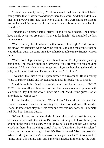"Speak for yourself, Brandty," Todd snickered. He knew that Brandt hated being called that. "I wasn't wondering where they were. And they didn't take that long anyways. Besides, look who's talking. You were sitting so close to me on the bench just now that I could smell the maple syrup that you had for breakfast"

Brandt looked alarmed at this, "Hey! What?! It's cold in here. And I didn't have maple syrup for breakfast. That was for lunch." He mumbled the last sentence out.

"Yeah, Brandty, breakfast at noon, that sounds about right." Todd pressed his elbow into Brandt's waist when he said this, making the gesture that he was kidding, but at the same time, it was hard enough to make Brandt wince a little.

"Yeah. So. I slept late today. You should know, Todd, you always sleep past noon. And enough about me, anyways. Why are you two fags holding hands still?" Brandt clearly was not getting this, even though together side by side, the front of Justin and Parker's shirts read "IN LOVE".

It was then that Justin took it upon himself to turn around. He reluctantly let go of Parker's hand and pivoted around until his back was to Brandt.

Brandt brought his fisted hand to his mouth and let out a snort. "'MINE 01'?" This was all just hilarious to him. He never associated pranks with Valentine's Day, but this whole thing was a riot. "And let me guess. Parker over there is 'MINE 02'?"

Parker decided to speak up. "Yeah. I am," he said and stepped into Brandt's personal space a bit, keeping his voice cool and even. He needed Brandt to know that playtime was over and that this was for real. Extremely real. For both him and Justin.

"Whoa, Parker, cool down, dude. I mean this is all wicked funny, but seriously, what's with the shirts? Did Justin just happen to have those lying around in the trunk of his car? We all know he's a slob and has God knows what's in there, but matching shirts? And on Valentine's Day? Priceless." Brandt let out another laugh. "Hey it's like those old Visa commercials! Where's Morgan Freeman's voiceover when you need it?" It was kind of funny, but at this point, Justin and Parker just needed him to know the truth.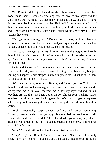"No, Brandt, I didn't just have these shirts lying around in my car. I had Todd make them. I wanted something nice to give to my boyfriend for Valentine's Day. And so, I had these shirts made and this… this is it." He and Parker turned back around to show the "IN LOVE" message on the front of their shirts to Brandt. Brandt was dense at times, but he did have some brains, and if he wasn't getting this, Justin and Parker would show him just how serious they were.

"Yeah, guys very funny, but…" Brandt tried to speak, but it was then that he noticed the way Justin had his head tilted just slightly and he could see that Parker was leaning in and was about to. To. Kiss Justin.

"Um, guys?" *How faristhis prank gonna go?* Brandt thought. But he only thought it for a brief instant, right before he saw histwo closest friends pressed up against each other, arms draped over each other's backs and engaging in a serious lip-lock.

Justin and Parker took a moment to embrace and then turned back to Brandt and Todd, neither one of them blushing or embarrassed, but just smiling and happy. Parker clasped Justin's fingers in his. What had taken them so long to do this in the first place?

"What we're trying to tell you, Brandt, and I guess you too, Todd, even though you do not look even vaguely surprised right now, is that Justin and I are together. As in, 'in love', together. As in, he's my boyfriend and I'm his, together. As in, this has been going on for almost four freaking years, together." And with that Justin gave Parker's hand a gentle squeeze acknowledging how wrong this had been to keep the best thing in his life a secret.

"Well, it's not really a surprise is it?" Todd was the first to say something. "I mean, I made the shirts for you guys, but even before that I knew. Hell, when Parker and I used to work together, I used to keep a running tally of how often he would mention Justin." Todd chuckled at the memory. "I think I ran out of ink a few times."

"What?" Brandt still looked like he was missing the joke.

"They're together, Brandt. A couple. Boyfriends. 'IN LOVE.' It's pretty clear, it's on their shirts," Todd said and then took a knee in order to tie his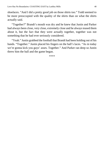shoelaces. "And I did a pretty good job on those shirts too." Todd seemed to be more preoccupied with the quality of the shirts than on what the shirts actually said.

"Together?" Brandt's mouth was dry and he knew that Justin and Parker had always been close, very close, extremely close and he always teased them about it, but the fact that they were actually together, together was not something that he had ever seriously considered.

"Yeah." Justin grabbed the football that Brandt had been holding out of his hands. "Together." Justin placed his fingers on the ball's laces. "As in today we're gonna kick you guys' asses. Together." And Parker ran deep so Justin threw him the ball and the game began.

\*\*\*\*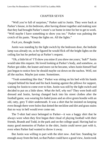#### CHAPTER SEVEN

"Well you're full of surprises," Parker said to Justin. They were back at Parker's house, in his bedroom, after having dinner together and making sure that they had brought Parker's mom's car home in time for her to get to work. "Well maybe I have something to show you too." Parker was palming the crotch of his pants. "Keep the lights on. All the lights."

*Fuck yes*, thought Justin.

Justin was standing by the light switch by the bedroom door, the bedside lamp was already on, so he figured he would flick off the bright lights on the ceiling fan but he perked up at Parker's request.

"Oh, a little bit of 'I'll show you mine if you show me yours,' huh?" Justin would take this request. He loved looking at Parker's body, and somehow, as Parker got older, the leaner and more cut he became, when Justin himself had just begun to notice how he should maybe cut down on the nachos. Well, not all the nachos. Maybe just some. Sometimes.

"Yeah something like that." Parker was sitting on his bed with his hands clasped behind his head and his back leaning against the pillows for support, waiting for Justin to come over to him. Justin was still by the light switch and decided to put on a little show. *What the hell, why not?* They were both still dressed and Justin, having changed back into his street clothes after the football game, was wearing his faded jeans and an olive green hoodie with an old, ratty, grey T-shirt underneath. It was a shirt that he insisted on keeping even though there were holes that dotted the neckline and dirt and grass stains that no way in hell would ever come out.

The T-shirt had once belonged to Parker—it was a baggy shirt that he always wore when they first began their ritual of playing football with their friends, Brandt and Todd, in the park and on the college quad. Having had so many good memories of Parker in the shirt, Justin could never part with it, even when Parker had wanted to throw it away.

But Justin was willing to part with the shirt now. And fast. Standing far enough away from the bed, so that Parker could have a good view, Justin took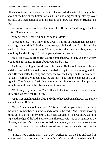off his hoodie and put it over the back of Parker's desk chair. Then he grabbed ahold of the hem at the bottom of his T-shirt and dragged it up, slowly, over his head and then balled it up in his hands and threw it at Parker. Right at his face.

Parker reached up and grabbed the shirt off himself and flung it back at Justin. "Great aim, doofus."

"Yeah, well we can't all be high school MVP."

Parker replied, "You know they always put me at quarterback because I have big hands, right?" Parker then brought his hands out from behind his head to his lap to look at them. "And what is it that they are always saying about big hands? I forget," Parker grinned over at Justin.

"Big Hands…? Bigfoot. But you're not that hairy, Parker. So don't worry. Not all the Sasquatch rumors about you can be true."

Justin was pulling at the zipper of his jeans. He kicked them off his legs and then reached down to the floor to grab them up in his hands along with his shirt. He then balled them up and threw them at the hamper in the far corner of Parker's bedroom. Miraculously, the clothes made it to the hamper and went right in. The fact that Justin had actually put his clothes in a hamper was miracle enough, and it had been a good throw, too.

"Well maybe you are an MVP after all. That was a slam dunk," Parker said. "But where's the rest of it?"

Justin was standing in his blue and white checked boxer shorts. And Parker wanted those off. Now.

"Nope." Justin shook his head. "This is 'I'll show you mine if you show me yours,' remember?" Justin walked closer to the bed. "And I'm not showing mine, until you show me yours," Justin said seductively and was now standing right at the edge of the bed. Parker was still seated with his back against all the pillows, and Justin's crotch wasjust below eye level, only a hands-reach away from him, but when he reached out toward Justin, Justin backed away from the bed.

"Fine, if you want to play it that way." Parker got off the bed and stood up where Justin had just been. It was now Justin's turn to sit on the bed with his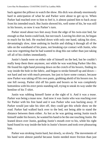back against the pillows to watch the show. His dick was already enormously hard in anticipation of what he and Parker were about to get up to. When Parker had reached over to him to feel it, it almost pained him to back away from his intended touch. But Justin showed *his*, well some of his, he was still in his boxers, so now it was Parker's turn.

Parker stood about two feet away from the edge of his twin-size bed, far enough so that Justin could look, but not touch. Leaving his shirt on, he began to reach for his belt. He reached down with only one hand, taking his slow, devastatingly slow, time undoing its buckle and sliding it through all of the tabs on the waistband of his jeans, not breaking eye contact with Justin, who was now regretting that he had wanted to drag this out rather than just taking off all of his clothes immediately.

Justin's hands were on either side of himself on the bed, but he couldn't really keep them there anymore, not while he was watching Parker like this. He found his right hand pressing down on the crotch of his boxers, finding its way inside the hole in the fabric, and began to stroke himself up and down not hard and not with much pressure, but just to have some contact, because now Parker was taking off his own pants, grabbing ahold of his boxers too. In one fell swoop, Parker slid off his pants and boxers so he was completely bottomless with his erect penis standing tall, trying to sneak its way under the hemline of his T-shirt.

Justin was rubbing himself faster at the sight of it. And it was a tease. Parker was being a tease now. And now it was Justin who was reaching over for Parker with his free hand and it was Parker who was backing away. If Parker would just take his shirt off, they could get this whole show on the road. Parker had walked back over to the bed, not being able to stand the distance between them either. As hot as he was getting seeing Justin touch himself under his boxers, he wanted his hand to be the one touching Justin. He leaned down over Justin, guiding Justin's mouth over to his, while his right hand found its way inside the hole in Justin's boxers and took over pleasuring him.

Parker was stroking Justin hard, but slowly, so slowly. The movements of his hand were almost painful because Justin needed more friction than just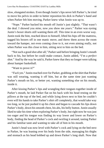slow, elongated strokes. Even though Justin'slips never left Parker's, he tried to move his pelvis in order to better reposition his dick in Parker's hand and when Parker felt him moving, Parker knew what Justin was up to.

"Nope." Parker backed his mouth off Justin's just slightly. "That wasn't the deal. I showed you *mine*, now *you* show me *yours*." Parker was eyeing Justin's boxer shorts still wanting them off. This time in an even worse way. Justin took the hint, reached down to himself, lifted his hips off the mattress, tugged his boxers off in one manic move, and threw them across the room toward the hamper, not even coming close to it, not even aiming really, not when Parker was this close to him, sitting next to him on the bed.

"Not such a good shot after all," Parker said before bringing Justin's mouth back to his, but before he could make contact, Justin added, "I'm a *perfect* shot." And by the way he said it, Parker knew that they no longer were talking about hamper basketball.

"Want to prove it?"

"*Fuck* yes." Justin reached over for Parker, grabbing at the shirt that Parker was still wearing, wanting it off him, but at the same time just wanting Parker's mouth on his, or better yet, wanting something else on his mouth, inside it.

After kissing Parker's lips and wrangling their tongues together inside of Parker's mouth, he laid Parker flat on his back with his head resting on the pillows at the top of the bed, and while lying down next to him he couldn't even will his hands to take Parker's shirt off completely, that would take way too long, so he just pushed it up his chest and began to cascade his lips down Parker's body, down his smooth chest, his abs, his belly button. Justin usually liked to take his time when exploring Parker's body, but right now he was just too eager and his tongue was finding its way lower and lower on Parker's body, finding the head of Parker's cock and swirling it around, tasting Parker and his familiar taste and wanting to take all of him in his mouth.

Justin's head was now level with Parker's cock and lying on the bed next to Parker, he was leaning over his body from the side, massaging his thighs and stomach as his head bobbed up and down Parker's long shaft. Now that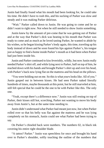Justin had finally found what his mouth had been looking for, he could take his time. He didn't have to rush this, and his sucking of Parker was slow and steady and it was making Parker delirious.

"Wait." Parker called down to Justin. He was going to come and he *so* didn't want to right now. Not when he still needed to show Justin something.

Justin knew by the amount of pre-come that he was getting out of Parker and at the way that Parker's dick was beating in his mouth that Parker was ready to come and as much as he loved tasting Parker, he wanted to abide by his wishes, so he began kissing Parker's body again, this time, traveling up his body instead of down and he soon found his lips against Parker's, his tongue just as happy to find a home inside Parker's mouth as it had been when Parker had just been inside his.

Justin and Parker continued to kissfeverishly, wildly, but now Justin really needed Parker'sshirt off, and while lying next to Parker, half on top of him, he reached down with his hands and brought Parker's shirt up and over his head, with Parker's back now lying flat on the mattress and his head on the pillows.

"You were holding out on me. So thisis what *yours*lookslike. All of you." Justin gasped out in between kisses. He had seen Parker naked literally hundreds of times, maybe thousands at this point, but he still marveled at him, still felt special that he could be the one to be with Parker like this. The only one.

"Yeah, except there's a difference now." Justin was still resting on top of Parker, their kisses still hot, scorching, Parker not wanting to move his body away from Justin's, but at the same time needing to.

Justin didn't understand what Parker had meant just now, but when Parker rolled over so that his belly was flat against the mattress and he was lying completely on his stomach, Justin could see what Parker had been trying to say.

On Parker's chiseled back were numbers. The numbers 02, in black ink covering his entire right shoulder blade.

"A tattoo? Parker." Justin was speechless for once and brought his hand over to Parker's shoulder, softly touching the outline of the numbers that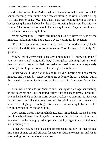would be forever on him. Parker had been the one to make their football Tshirts, choosing their numbers and forever starting the ritual of Justin being "01" and Parker being "02," and Justin now was looking down at Parker's back, seeing the man he loved with an "02" knowing that it would be this way forever. That he and Parker would be this way forever. Together. And this is what Parker was showing to him.

"What do you think?" Parker, still lying on his belly, lifted his head off the mattress, looking intently into Justin's eyes, waiting for his reaction.

"I'm thinking that mine is not going to look half as good as yours," Justin answered. He definitely was going to get an 01 on his back. Definitely. No question.

"Yeah, well if we've established anything playing 'I'll show you mine if you show me yours' tonight, it's that," Parker joked, bringing Justin's mouth over to his and re-starting their hot make out session and now desperately wanting Justin to prove to him just what a good shot he was.

Parker was still lying flat on his belly, his dick beating hard against the mattress and he couldn't resist rocking his body into the soft bedding, but at the same time wanting Justin on top of him to push him down even further into it.

Justin was on his side lying next to him, their lips locked together, rubbing up and down his back until he found Parker's ass and began firmly kneading it over in his hand. Upon Justin'sfirm contact, Parker was pressing his hips even further down into the mattress, needing the friction and the contact and scissored his legs open, inviting Justin over to him, wanting to feel all of his weight pressed down on top of him.

Upon seeing Parker widening his legs, Justin immediately reached over to the night table drawer, fumbling with the contents inside it and grabbing what he knew to be the lube, popped it open and quickly began to apply it all over his throbbing cock.

Parker was making moaning sounds into the mattress now, his face pressed into a mix of mattress and pillows, desperate for Justin to enter him and Justin was getting the message loud and clear.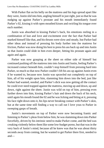With Parker flat on his belly on the mattress and his legs spread apart like they were, Justin slid into him, angling himself in just right, just so that he was nudging up against Parker's prostate and his mouth immediately found Parker's 02, kissing it with open mouthed kisses and swirling his tongue over each number.

Justin was absorbed in kissing Parker's back, his emotions reeling in a combination of lust and love and excitement over the fact that Parker had marked himself like that, and his thrusts were slow and steady, but Parker had other ideas and instead of pressing his body further into the mattress for friction, Parker was now doing his best to press his ass back up and into Justin so that Justin could slide in him even deeper, hitting his prostate again and again and again.

Parker was now grasping at the sheet on either side of himself but continued pushing off the mattressinto into Justin and Justin, feeling Parker's increased contact beneath him, couldn't stop himself from pressing hard into Parker, so much so that now Parker couldn't lift his ass up against Justin even if he wanted to, because now Justin was sprawled out completely on top of him, all of his weight upon him, slamming him down into the bed, just like Parker had wanted, *needed*, and Parker's dick was now getting all the contact he could ever need trapped against the mattress, moving up and down, up and down, right against the sheet. Justin was wild on top of him, pressing even further down into him, kissing Parker's hair and down the back of his neck, until again his mouth found the 02 and he was licking and biting at it, pressing his face right down onto it, his lips never breaking contact with Parker's skin, but at the same time still finding a way to call out I love yous to Parker in sweeping gasps of breath.

Justin's movements on top of Parker were now becoming frantic and listening to Parker's pleas from below him, he was slamming down into Parker forcefully, driven by his intrinsic need to make Parker come, and the bed was creaking violently below them like some low-budget porno, but that wasin the very back of Justin's mind, because all he knew was that he was about thirty seconds away from coming, but he wanted to get Parker there first, needed to and—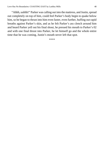"Ahhh, uuhhh!" Parker was calling out into the mattress, and Justin, spread out completely on top of him, could feel Parker's body begin to quake below him, so he began to thrust into him even faster, even further, huffing out rapid breaths against Parker's skin, and as he felt Parker's ass clench around him and heard Parker yell out his final shout, he pressed his mouth to Parker's 02 and with one final thrust into Parker, he let himself go and the whole entire time that he was coming, Justin's mouth never left that spot.

\*\*\*\*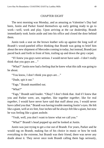### CHAPTER EIGHT

The next morning was Monday, and as amazing as Valentine's Day had been, Justin and Parker found themselves up early getting ready to go to work—well, work and play. Upon arriving at the car dealership, Brandt immediately took Justin aside and into his office and closed the door behind them.

Justin took a seat on the brown leather sofa up against the long wall of Brandt's wood-paneled office thinking that Brandt was going to brief him about the new shipment of Mercedes coming in today, but instead, Brandt just paced back and forth in front of him, trailing up and down the grey carpet.

"If I knew you guys were serious. I would never have said—I don't really think that you guys are…"

"What?" Justin now had a feeling that he knew what this talk was going to be about.

"You know, I don't think you guys are…"

"Dude, spit it out."

"Fags." Brandt mumbled out.

"What?"

"Fags," Brandt said louder. "Okay? I don't think that. And if I knew that you and Parker were, are, together, like together *together*, like for real *together*, I would have never have said that stuff about you, I would never have called you that." Brandt was having trouble meeting Justin's eyes. He felt like a giant, well at six feet, four inches tall he always felt like a giant, but now he was feeling like a giant asshole.

"Yeah, well, you don't want to know what we call you."

"What?" Brandt's head popped up and he looked at Justin.

Justin was just trying to get a rise out of Brandt. For years, Parker and he would rag on Brandt, making fun of his choice in music or how he took everything to the extreme, but Brandt was their friend, there was never any doubt about it. They never once took Brandt calling them fags seriously,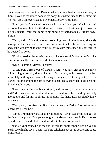because as big of a mouth as Brandt had, and as much of an oaf as he was, he didn't have one malicious bone in his body.Justin knew it and Parker knew it. He was just a big oversized kid who had a lousy vocabulary.

"I said you don't want to know what Parker and I call you. You know: oaf, buffoon, loudmouth, imbecile, dumb-ass, jerkoff…" Justin was just throwing out any general insult that came to his mind, he wanted to make Brandt sweat a little.

"Yeah, well…" Brandt was still sounding down in the dumps, sincerely apologetic, like he deserved each and every insult that Justin was throwing out and Justin was loving that he could get away with this, especially at work, so he decided to go on.

"Doofus, ass-hat, lamebrain, numbskull, clown-turd." Clown-turd? Ok. He was out of insults. But Brandt didn't seem to notice.

"Keep it coming, Meyer, I deserve it."

At this point, fresh out of insults, Justin was just grasping at straws. "Uhh… Ugly, stupid, dumb, Umm… Not smart, uhh, gross…" He had absolutely nothing and was just listing off adjectives at this point. He even started looking around the office trying to get ideas as to what to say next but Brandt cut him off.

"I get it Justin. I'm dumb, and stupid, and I'm sorry if I ever once put you and Parker in an uncomfortable situation." Brandt was still sounding sincerely apologetic, and for him to phrase his apology like that, Justin absolutely knew he meant it.

"Yeah, well, I forgive you. But I'm not sure about Parker. You know what a hard-ass he can be."

At this, Brandt knew that Justin was kidding. Parker was the nicest guy on the face of the planet. Everyone thought so and everyone knew it. He of course would forgive Brandt, but Brandt needed to hear it for himself.

"Parker's not gonna be on the busto work for another hour. Let's give him a call, see what he says." Justin took his cellphone out of his pocket and speed dialed Parker.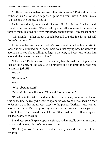"Still can't get enough of me even after this morning." Parker didn't even bother with a "hello" when he picked up the call from Justin. "I didn't make you late, did I? You just tasted so—"

Justin immediately interjected, "Parker! Hi! It's Justin, I'm here with Brandt. You're on speaker." Because this phone call was meant to between the three of them, Justin didn't even think twice about putting it on speaker phone.

"Oh, Brandt." Parker let out a cough, but still sounded like his jovial self. "What's up, fellas?"

Justin was feeling flush at Parker's words and pulled at his necktie to loosen it but continued on. "Brandt here was just saying how he wanted to apologize to you about calling us fags in the past, so I was just telling him about all the names that we call him."

"Ohh, Isee," Parker answered. Parker may have been the nicest guy on the face of the planet, but he was also a prankster and a jokester too. "Did you remember jerkoff?"

```
"Yup."
"Dumb-ass?"
"Ya."
"What about moron?"
"Moron!" Justin yelled out. "How did I forget moron!"
```
"I'll add it to the list," Brandt mumbled over to them, but now that Parker was on the line, he really did want to apologize to him and he walked up closer to Justin so that his mouth was closer to the phone. "Parker, I just want to apologize to you. I'm sorry for my actions in the past and I want you and Justin to know," he looked back at Justin, "that I will never call you fags, or use that word, ever again."

Brandt was sounding so proper and sincere and ironically very un-moronic, but that didn't sway Parker's response to him.

"I'll forgive you," Parker let out a breathy chuckle into the phone. "Moron."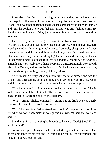#### CHAPTER NINE

A few days after Brandt had apologized to Justin, they decided to go get a beer together after work. Justin was harboring absolutely no ill will toward Brandt, and even though Brandt had made it clear that he was happy for Parker and him, he couldn't help but feel that Brandt was still feeling awful. He decided it would be nice if they just went out after work to have a good time together.

The bar they decided to go to wasn't far from work. It was called O'Leary's and was an older place with an older crowd, with dim lighting, dark wood paneled walls, orange vinyl covered barstools, cheap beer and even cheaper wings and Justin and Brandt absolutely loved it. It had been their place ever since they started working together at the car dealership, and since Parker rarely drank, Justin had followed suit and usually only had a few drinks a month, and very rarely more than a couple at a time. But tonight he was with his buddy, Brandt, and he was feeling good. On his insistence, he was buying the rounds tonight, telling Brandt, "I'll buy, if you drive."

After finishing twenty hot wings each, five beers for himself and two for Brandt, and after talking about anything and everything work related, Justin had Parker on his mind and decided to switch conversation topics.

"You know, the first time we ever hooked up was in your bed." Justin looked across the table at Brandt. The two of them were seated at a round high-top table toward the back of the barroom.

"What!" Brandt choked out, nearly spitting out his drink. He was utterly shocked. And so did not need to know that.

"Yup. The first night Parker kissed me. I couldn't keep my hands off him. It's when we were roommates in college and you weren't there that weekend and—"

Brandt cut him off, bringing both hands to his ears, "Dude! Stop! I'm so not listening!"

So Justin stopped talking, and when Brandt thought that the coast was clear he took his hands off his ears and—"I told him he could sleep on your bed, but I couldn't be without him and—"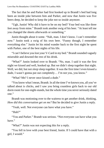The fact that he and Parker had first hooked up in Brandt's bed had long been an inside joke between him and Parker, and now that Justin was five beers deep, he decided to keep the joke not so inside anymore.

"Ugh, Justin! Why did it have to be on my bed? Your bed was like three feet away from mine." Brandt took another swig of his beer. "At least tell me you changed the sheets afterwards or something."

Justin thought about it some. "Nah, man. I don't know. I can't remember now." Justin took a swig of his own beer. "Funny though, I remember everything else." Justin let his mind wander back to the first night he spent with Parker, one of the best nights of his life.

"I can't believe you lost your V-Card in my bed." Brandt sounded vaguely miserable and downed the rest of his drink.

"What?" Justin looked over to Brandt. "No, man. I said it was the first night we kissed and well, hooked up. But we didn't sleep together that night. Well, we did, but not *sleep* sleep together. It was the first time I even kissed a dude, I wasn't gonna put out completely… I'm not you, you know."

"What? Me? I never once kissed a dude."

"You know what I mean, Brandt. In all the time I've known you, all you've talked about is chicks, and I saw you bring countless girls back to our old dorm room for one-night-stands, but the whole time you never seriously dated one."

Brandt was motioning over to the waitress to get another drink, thinking, *How did this conversation get on me?* But he decided to give Justin a reply.

"Yeah, well. Not everyone can have what you have."

"Huh?"

"You and Parker." Brandt was serious. "Not everyone can have what you have."

"What?" Justin was not expecting this for a reply.

"You fell in love with your best friend, Justin. If I could have that with a girl, I would."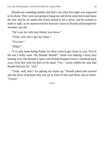Brandt was sounding somber and that's not what this night was supposed to be about. They were just going to hang out and drink some beers and shoot the shit, and by no means did Justin intend to hit a nerve, and he wanted to make it right, so he maneuvered his barstool closer to Brandt and bumped his shoulder into his.

"He's not my only best friend, you know."

"Yeah, well, don't get any ideas."

"Too late."

"What?"

"I've only been dating Parker for three years to get closer to you. You're the one I really want. Oh, Brandt! Brandt!" Justin was making a kissy face leaning over into Brandt's space and Brandt bumped Justin's forehead back away from him with the heel of his hand. "Ow." Justin rubbed the spot that Brandt had just hit. "Ass."

"Yeah, well, that's for getting my hopes up." Brandt joked and reached into the bowl of peanuts that was set in front of him and threw one at Justin. "Clown."

\*\*\*\*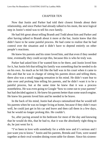### CHAPTER TEN

Now that Justin and Parker had told their closest friends about their relationship, and since Parker had already talked to his mom, the next logical step in Justin's mind was to tell his own family.

He had felt great about telling Brandt and Todd about him and Parker and after having talked to Brandt about it more at the bar, Justin knew that this didn't have to be some painful process. He had come to realize that he had control over the situation and it didn't have to depend entirely on other people's reactions.

He knew his parents and his sister loved him, and that even if they needed time, eventually they could accept this, because this is who he truly was.

Parker had asked him if he wanted him to be there, and Justin loved him for it, but Justin felt that telling his family was something that he needed to do on his own. As much as he felt like the ball was in his court when it came to this and that he was in charge of sitting his parents down and telling them, there also was a small nagging sensation in his mind. He didn't want fear to take over and prolong him telling his parents, and he didn't want it to be a painful process, but at the same time he knew that it was a process nonetheless. He was even going to Google "how to come out to your parents" but had decided against it. He knew his parents better than some search engine. He knew his parents loved him and he needed to be brave.

In the back of his mind, Justin had always rationalized that he would tell his parents when he was no longer living at home, because if they didn't react well, he could just get in his car and leave and then call them in a few days, but he would no longer prolong this. He couldn't.

So, after pacing around in his bedroom for most of the day and knowing that he would do this, that he had to, that it was the absolutely right thing to do, he just went for it.

"I've been in love with somebody for a while now and it's serious and I just want you to know." Justin and his parents, Brenda and Tom, were seated together at their oval wooden dining room table for dinner. Since his sixteen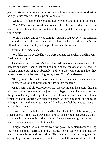year-old sister, Cara, was at choir practice he figured now was as good a time as any to just come out to his parents and say it.

"Okay…" His father answered hesitantly while cutting into his chicken.

"Tom." His mother looked over to her right at Justin's dad who sat at the head of the table and then across the table directly at Justin and gave him a warm smile.

"Well, we knew this day was coming." Justin's dad put down his fork and knife and cleaned his mouth with his napkin, but he looked over at Justin, offered him a small smile, and tapped his arm with his hand.

Justin didn't understand.

"We did. And we decided how we were going to react when it did happen," Justin's mom replied.

This was all above Justin's head. He had only said one sentence to his parents and with it being just the beginning of the conversation, he had left Parker's name out of it deliberately, and here they were talking like they already knew what he was going to say next. "I don't understand."

"Honey, remember that condom talk we had with you a few years back?" His mother was looking back at him from across the table.

*Jesus.* Justin had almost forgotten that mortifying day his parents had sat him down when he was almost a junior in college. His dad had mumbled out things about safety and respect and handed him a twelve-pack of condoms, which, to Justin's horror, was already opened, with two missing, and he could only guess where the other two were. Why did they feel the need to have that talk with him again?

His mom was a pediatric nurse and had had "the talk" with him every year since puberty it felt like, always mentioning sob stories about young women she saw who came into the pediatrician's office and were pregnant and scared and alone and not even out of high school.

In high school, "the talk" his mom always gave him centered around being responsible and not starting a family because he was too young and that sex was a responsibility and not a right. This talk his mom always gave him alwayslingered somewhere in the back of his mind, the responsibility of it all,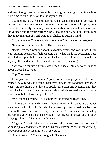and even though Justin had some fun making out with girls in high school from time to time, he never took it beyond that.

But thinking back, when his parents had talked to him again in college, he remembered they never once mentioned the use of condoms for pregnancy prevention or family planning, it was always about safety and having respect for yourself and for your partner. Christ, looking back, he didn't even think they made mention of a girl. And it all clicked in Justin's mind.

"So, you knew? You knew this whole time?" Justin was flabbergasted.

"Justin, we're your parents…" His mother said.

"Jesus, I've been sweating about this for three years and you knew!" Justin was sounding accusatory, feeling stupid that he had made the decision to keep his relationship with Parker to himself when all that time his parents knew anyway. It would almost be comical if it wasn't so shocking.

"Now wait a minute." Justin's dad began to speak. "Justin, we are talking about Parker here, right?"

Yup. They knew.

Justin just nodded. *This is not going to be a painful process*, his mind chimed in. Why was he getting upset over this? It was good that they knew, wasn't it? He didn't even have to speak more than one sentence and they knew. He had to calm down, he was just shocked, almost to the point of being speechless, but—"How did you know?"

"We just had a feeling…" His mother was sounding reassuring.

"Oh, out with it Brenda. Justin's being honest with us and it's time we were honest with him." Justin's dad had spoken up. "Justin, we know because your mother overheard you two together one day." Justin's dad had balled up his napkin tightly in his hand and was not meeting Justin's eyes, and his body language alone had Justin in a mild panic.

"Together?" Justin let it out in an almost yelp. *Please mean you overheard us on the phone together. Please mean a conversation. Please mean anything other than together together. Like together…*

"In your room…" His dad coughed. "Together."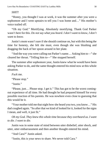# *SHIT!*

"Honey, you thought I was at work, it was the summer after you were a sophomore and I went upstairs to tell you I was home and…" His mother's voice trailed off.

"Oh my God." Mortifying. Absolutely mortifying. Thank God Parker wasn't here for this. *Do not say what you heard. I don't want to know, I don't want to know.*

Justin's mom wasn't sure if she should continue on, but with this being the time for honesty, she felt she must, even though she was blushing and dragging the back of her spoon around in her plate.

"And the way you were calling out Parker's name… Asking him to—" she cleared her throat. "Telling him to—" She stopped herself.

The summer after sophomore year, Justin knew what he would have been asking Parker to do, and the same thought entered his mind now at this whole situation.

*Fuck* me.

"Please stop."

"Iustin"

"Please, just… Please stop. I get it." This has got to be the worst comingout experience of all time. He had thought he had prepared himself for every possible reaction of his parents. He was nowhere even close to guessing that this would be it.

"Your mother told me that night how she heard you two, you know…" His dad coughed again. "So after that we kind of looked for it, looked for the signs I mean, and well, it just fit."

*Oh my God. They knew this whole time because they overheard us. I want to die. I want to die.*

Justin was in some state of mind between utter disbelief, utter shock, and utter, utter embarrassment and then another thought entered his mind.

"And Cara?" Justin asked.

"Justin, this is your news to share. We never told Cara."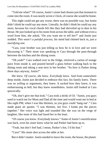"Told me what?" Of course, Justin's sister had chosen just that moment to come into the room. It was nearly seven o'clock, of course she would be home.

This night could not get any worse, there was no possible way, but Justin didn't think he could say any more. Literally, he didn't think he could say any more, because his vocal chords felt like they had shriveled up to dust in his throat. He just looked up to his mom from across the table, and without even a word from him, she asked, "Do you want me to tell her?" and Justin just nodded. *This wasn't a painful process*, his mind had chimed back in, *just a mortifying one*.

"Cara, your brother was just telling us how he is in love and we were discussing it." Their mom was speaking to Cara through the pass-through between the kitchen and the dining room.

"Oh yeah?" Cara walked over to the fridge, retrieved a carton of orange juice from inside it, and poured herself a glass before walking back to the dining room and taking a seat next to her brother. "So how is Parker doing these days anyway, Justin?"

*She knew. Of course, she knew. Everybody knew*. And from somewhere deep inside, Justin just decided to embrace this fact, his family knew. There was no yelling or arguments, they knew. It sucked how they knew, it was embarrassing as hell, but they knew nonetheless. Justin still looked at Cara quizzically.

"Oh, don't give me that look." Cara took a drink of OJ. "Justin, you guys used to watch me for Mom and Dad all the time and would want me in bed at like eight PM, when I was like thirteen, so you guys could 'hang out'." Cara made giant air quotes. "I was thirteen, not five. I kinda put the pieces together." Her voice was light and sounded like she was on the verge of laughter, like none of this had fazed her in the least.

"Of course you know. Everybody knows." Some of Justin's mortification was back, even his sister knew what he and Parker had been up to.

"Yeah, but don't feel bad, I mean, Parker's hot, I'd hit that."

"Cara!" His mom shot across the table at her.

But it didn't matter. Justin needed to leave the room, the house, the planet.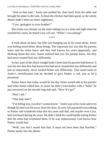"And on that note." Justin just pushed his chair back from the table and brought his plate to the sink. At least the chicken had been good, so the whole dinner hadn't been an entire nightmare.

"Cara, apologize to your brother!"

But Justin was already on the stairs taking two at a time and right when he reached his room, he heard Cara call out, "What! I was joking!"

\*\*\*\*

It took about an hour, but after just hanging out in his room alone, Justin was feeling much better about things. The important fact was that his parents knew and his sister knew and they had known for years apparently, and thinking about this now, Justin realized that yes, his parents knew, but they had never treated him any differently.

In fact, part of the shock tonight hadn't been that his parents had known. It wasthe fact that they had known but had never treated him any differently and just as importantly, never treated Parker any differently. That eased some of Justin's mortification and he decided to give Parker a call, just as he'd promised.

Parker knew that today would be the day Justin would talk to his parents and when Justin called him, as usual, he didn't even bother with a "hello" he just answered on the second ring and said, "How'd it go?"

"Don't ask"

"That bad, huh?"

"I'm telling you, you don't wanna know." Justin was in his room and even though his bed was far away from the door, he now felt paranoid even talking to Parker and wondered what else his mom and dad, and maybe even Cara, had overheard during the years. He didn't think he could handle telling Parker that his mom had overheard them. If he was embarrassed, God knows how Parker would feel.

"Well, you don't sound that bad. It must not have been that horrible," Parker spoke into the phone.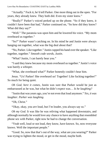"Actually." Fuck it, he'd tell Parker. One more thing out in the open. "For years, they already knew. They both did. Even my sister knew."

"Really?" Parker's voiced perked up on the phone. "So if they knew, it couldn't have been that bad," Parker continued on, "So how did they know? What did they say?"

"Well." The paranoia was upon him and he lowered his voice. "My mom overheard us together."

"So?" Parker wasn't catching on. In his mind he and Justin were always hanging out together, what was the big deal about that?

"No, Parker. Like together." Justin cupped his hand over the speaker. "Like together, together." *Smooth code words, Justin.*

"What? Justin, I can barely hear you."

"I said they knew because my mom overheard us together." Justin's voice was barely a whisper.

"What, she overheard what?" Parker honestly couldn't hear him.

Jesus. "Us! Parker! She overheard us! Together! Like fucking together!" So much for being quiet.

*Oh God, here it comes*, Justin was sure that Parker would be just as embarrassed as he was, but what he didn't expect was… *Is he laughing?*

"Justin that was years ago, you're not even that loud anymore." *Yes, it was laughter. Parker was laughing.*

"Oh, Christ."

"Okay, okay, you *are* loud, but I'm louder, you always say so."

*Oh my God.* It was like he was reliving what happened downstairs, and although normally he would love any chance to have anything that resembled phone sex with Parker, right now he had to change the conversation.

"Yeah well, loud or not loud, they know, have known. So, now everyone knows. Well the important people."

"Good. So, now that that's out of the way, what are you wearing?" Parker was trying to lighten the mood, or get in the mood, maybe both.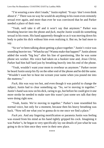"I'm wearing a new shirt I made," Justin replied. "It says 'don't even think about it'." There was no way he would do anything in his room even remotely sexual ever again, and more than ever he was convinced that he and Parker needed a place of their own.

"Yeah, well take it off and it won't say that anymore." Parker was breathing heavier into the phone and *fuck*, maybe Justin would do something sexual in his room. His hand apparently thought so as it was moving down his body to palm his dick without him even realizing it. But no, he had more to say.

"So we've been talking about getting a place together." Justin's voice was sounding heavier too. "Whatcha say? Wanna make that happen?" Justin almost added the words "big boy" after his line of questioning, like he was some phone sex worker. His voice had taken on a huskier tone and, *Jesus Christ*, Parker had him half hard just by breathing heavily into his end of the phone.

"Yeah, wouldn't want your mom to overhear us anymore." Parker swore he heard Justin unzip hisfly on the other end of the phone and he did the same. "Wouldn't want her to hear me scream your name when you pound me into the mattress."

*Fuck*, this was way too hot, and even though it was painful to change the subject, Justin had to clear something up. "So, we're moving in together." Justin's hand was now on his dick, raring to go, but before he could give it one more stroke he needed to make sure this wasn't just some sex talk that they were doing right now.

"Yeah, Justin. We're moving in together." Parker's tone resembled his normal voice, but only for a moment, because then his heavy breathing was back. "Now tell me what you're gonna do to me once we find a place."

*Fuck yes.* And any lingering mortification or paranoia Justin was feeling was erased from his mind as his hand tightly gripped his cock. Imagining it was Parker's, he began to very specifically lay out details of just what he was going to do to him once they were in their new place.

\*\*\*\*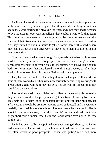#### CHAPTER ELEVEN

Justin and Parker didn't want to waste much time looking for a place, but at the same time they wanted a place that they could be in long-term. Once again, they were starting their lives up together, and since they had the chance to live together for two years in college, they couldn't wait to do that again. This time they both knew that it was going to be more permanent and this chapter of their lives wasn't going to be in some cramped apartment in Boston. No, they wanted to live in a house together, somewhere with a yard, where they could sit out at night after work or have more than a couple of people over at one time.

Now that it was the halfway through May, rentals on the North Shore were harder to come by since so many people came to the area looking for shortterm summer rentals to be by the coast for the summer. Most available houses had short-term leases that only lasted a month if not a week, so after three weeks of house searching, Justin and Parker had come up empty.

They had seen a couple of places they'd found on Craigslist after work, but none of them worked out. They were now seriously considering working with a real estate agent, willing to pay the extra fee up-front if it meant that they could find a decent place.

The previous week, they both had really liked a Cape Cod style house that they saw and it was located pretty much right in between Justin's job at the car dealership and Parker's job at the hospital. It was right within their budget, had a flat yard that would be great for playing catch or football and it even came partially furnished. It was about three miles away from the ocean and still only about fifteen minutes away from their parents' houses, and had it not been only a short-term summer lease, Justin and Parker would have signed the lease on the spot.

Justin had been really disappointed about not getting the house, and Parker had taken it even harder. At first, the house hunt had been exciting and new, but after weeks of poor prospects, Parker was getting more and more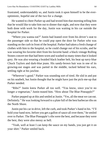frustrated, understandably so, and Justin took it upon himself to be the everoptimistic, hopeful one of the two for a change.

He wanted to cheer Parker up and had texted him that morning telling him that he would like to take him out to dinner that night, and now that they were both done with work for the day, Justin was waiting in his car outside the hospital for Parker.

"Where you wanna eat?" Justin had leaned over from his driver's seat to the passenger side so that he could pop open the door for Parker who was standing on the curb in front of the hospital. Parker had taken a fresh change of clothes with him to the hospital, so he could change out of his scrubs, and he was wearing his favorite shirt from his favorite band: a black vintage Rolling Stones concert tee that had been worn and washed so many times that it looked grey. He was also wearing a braided black leather belt, his beat up navy-blue Chuck Taylors and dark-blue jeans. His sandy-brown hair was in one of its growing-out stages and was parted in the middle, tucked behind his ears, settling right at his jawline.

"Wherever's good." Parker was sounding sort of tired. He slid in and put on his seatbelt, but Justin thought that he might have just the pick-me-up that Parker needed.

"Ribs?" Justin knew Parker all too well. "You know, since you're no longer a vegetarian," Justin teased him. "How about The Blue Pineapple?"

Parker pepped up at this and smiled at Justin. "Yes, all the meat we can eat. Definitely." He was looking forward to a plate full of the best barbecue ribs on the North Shore.

Justin put his car in drive, left the curb, and took Parker's hand in his. "I'll hold your hand now, before you get a gallon of sauce all over them," he smiled over to Parker. The Blue Pineapple'sribs were the best, and because they were the best, they were also messy as hell.

"Yeah, well at least I can keep the sauce on my hands, you just get it on your shirt." Parker smiled back.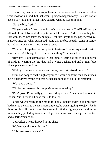It was true, Justin had always been a messy eater and his clothes often wore most of his food, but that wasn't going to happen today. He shot Parker back a coy look and Parker knew exactly what he was thinking.

"Not the bib, Justin."

"Oh yes, the bib." Justin gave Parker's hand a squeeze. The Blue Pineapple offered plastic bibs to all their patrons and Justin and Parker, when they had first went there, had taken them in jest, just like they took the paper crowns at Burger King, but when Justin had found that the bib actually came in handy, he had worn one every time he went back.

"You must keep their bib supplier in business." Parker squeezed Justin's hand back. "A bib supplier, is that even a thing?" Parker joked.

"Hey now, I look damn good in that thing!" Justin had taken an odd sense of pride in wearing the bib that had a white background and a giant blue pineapple across the front.

"Well, you're never gonna wear it now, you just missed the exit."

Justin had hopped on the highway since it would be faster than back roads, but he just drove by the exit that he needed to take to go to the restaurant.

"We have a detour."

"Oh, let me guess—a bib emporium just opened up?"

"Don't joke. I'd actually go to one if they existed." Justin looked over to Parker. "No, I found a house for us to look at."

Parker wasn't really in the mood to look at houses today, but since they had missed the exit to the restaurant anyway, he wasn't going to object. Justin threw on his blinker to take the next exit off the highway and within ten minutes they pulled up to a white Cape Cod house with dark green shutters and a dark green door.

And Parker's heart dropped in his chest.

"We've seen this one, Justin."

"This one? Are you sure?"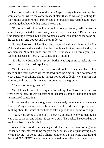They were parked in front of the same Cape Cod style house that they had seen last week, where the owner made it clear that she was only looking for short-term summer renters. Parker could not believe that Justin could forget something that had only happened a week ago.

"I'm sure, Justin. It's the house we both really wanted, well I guess the house I really wanted, because now you don't even remember." Parker's voice was sounding defeated, but Justin wanted a closer look at the house so he put the car in park and got out and Parker followed.

"It does look sort of familiar." Justin ran a hand over his scratchy five o'clock shadow and walked on the flat front lawn, looking around and trying to remember. "I think I kinda remember." He rubbed at his beard again. "But something seems different, like something's missing."

"It's the same Justin, let's just go." Parker was beginning to make his way back to the car, but Justin spoke up.

"No. I remember now. There was something here." Justin walked a few paces on the front yard to where the lawn met the sidewalk and not knowing what Justin was talking about, Parker followed to look where Justin was pointing, and saw that Justin was just pointing at the ground.

"There was nothing, Justin."

"No, I think I remember a sign or something. Don't you? You said we were here before." It was all starting to become clearer to Justin and he had remembered something.

Parker was silent as he thought back and vaguely remembered a handmade "For Rent" sign that was on the front lawn, but he had been too preoccupied thinking about the house at the time to take a good look at some yard sign.

"Yeah, wait, come to think of it." Now it was Justin who was making his way back to the car and taking his car keys out of his pocket, he opened up the trunk and bent down inside it.

When Justin stood from leaning inside the trunk, he was holding what Parker had remembered to be the yard sign, but instead of just having black writing saying "To Rent" and a phone number on a plain white background, the word "RENTED" was written in large red letters diagonally across it.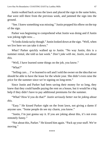Justin walked back across the lawn and placed the sign in the same holes, that were still there from the previous week, and jammed the sign into the ground.

"See. I knew something was missing." Justin propped his elbow on the top of the sign.

Parker was beginning to comprehend what Justin was doing and if Justin was joking right now…

"It looks kinda tacky though." Justin looked down at the sign. "Well, when we live here we can take it down."

*What?* Parker quickly walked up to Justin. "No way Justin, this is a summer rental, she told us last week." *Don't joke with me, Justin, not about this.*

"Well, I have learned some things on the job, you know."

"What?"

"Selling cars… I've learned to sell and Isold the owner on the idea that we should be able to have the lease for the whole year. She didn't even raise the price for the summer since we're signing on long-term."

Since Justin and Parker had been saving their money for so long, they knew that they could handle paying the rent on a house, but it would be a big help if they didn't have to pay additional premiums for the summer.

"What? How'd you do that?" *Justin seriously better not be joking about this*.

"Easy." He kissed Parker right on the front lawn, not giving a damn if anyone saw. "Some people do see my charm, you know."

"Justin, I'm just gonna say it. If you are joking about this, it's not even remotely funny."

"Not about this, Parker." He kissed him again. "Pack up your stuff. We're moving."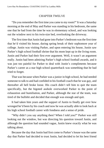# CHAPTER TWELVE

"Do you remember the first time you came to my room?" It was a Saturday morning at the end of May and Parker was standing in his bedroom, the same one that he had from the time he was in elementary school, and was looking out the window next to his twin-size bed, overlooking the driveway.

The first time that Justin had gone into Parker's bedroom was the first time that he'd visited his house, during spring break of their sophomore year of college. Justin was visiting Parker, and upon entering his house, Justin saw Parker's high school football shrine that his mom kept up in the living room. Justin and Parker had their first ever argument. Well, it wasn't an argument really. Justin had been admiring Parker's high school football awards, and it was just too painful for Parker to deal with Justin's compliments because Parker's career as a star high school quarterback was something that he had tried to forget.

That was because when Parker was a junior in high school, he had needed someone to talk to and had confided in his football coach that he was gay, and thereafter all hell broke loose. His coach didn't tell him to quit the team specifically, but the bigoted asshole overworked Parker to the point of exhaustion and humiliation, and Parker, although the star of the team, was tired of the bullshit and decided that enough was enough and quit.

It had taken him years and the support of Justin to finally get over how wronged he'd been by his coach and now he was actually able to look back at his high school football career with fondness and a sense of pride.

"Why didn't you say anything then? When I told you?" Parker was still looking out the window, but was directing his question toward Justin, and although the question had sounded vague, Justin knew exactly what he was talking about.

Because the day that Justin had first come to Parker's house was the same day that Parker had decided to trust Justin, had decided to let his best friend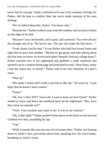know that he was gay. Justin, confused as he was in his romantic feelings for Parker, did his best to comfort him, but never made mention of his own feelings.

"We've talked about this, Parker. You know why."

"Remind me." Parker walked away from the window and sat next to Justin on the edge of his bed.

"Because I was chickenshit, and scared, and confused. You were always the stronger one of us. The braver one. The one who made the first move…"

"Yeah, thank God for that." It was Parker who had first kissed Justin and right then he gave him another. "Should we get gushy and start talking about the first time we knew we loved each other? Should I find my college diary?" Parker reached over to his nightstand and grabbed a small notebook and opened it up to a random blank page and pretended to read, "Dear Diary, today I met the cutest boy at school," Parker said in his best imitation of a girl's voice.

"Shut up."

"His name's Justin and I really want him to like me." He went on. "I just hope that he doesn't have cooties."

"Funny."

"Ok, how's this? MTV True Life: I want to bone my best friend." Parker smiled at Justin and threw the notebook back on his nightstand. "Hey, have they aired our episode yet?"

"Yeah. Your royalties just came to me. It was in our contract."

"Oh, is that right?" Parker pushed Justin down on his back on the bed and climbed over him, straddling his lap.

"Yup."

"Well, it sounds like you owe me a lot of money then." Parker was leaning down to Justin's face, just inches above him, speaking low, his voice husky, breathing in Justin's scent.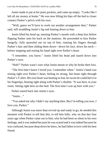Justin made to pat at his jeans pockets, and came up empty. "Looks like I left all my money at home." He was now lifting his hips off the bed to closer connect Parker's pelvis with his own.

"Well, guess we'll have to work out another arrangement then," Parker said, still straddling Justin's lap and leaning down to him.

Justin lifted his head up, meeting Parker's mouth with a deep kiss before flipping Parker onto his back on the mattress. He proceeded to kiss Parker hungrily, fully sprawled out on top of him, running his fingers through Parker's hair and then sliding them down—down his face, down his neck before stopping and resting his hand right over Parker's heart.

"I remember, you know." Justin lifted his head and stared down into Parker's eyes.

"Huh?" Parker wasn't sure what Justin meant or why he broke their kiss.

"The first time I knew I loved you. I remember when." Justin's hand was resting right over Parker's heart, feeling its strong, fast beats right through Parker's T-shirt. His own heart was beating so fast, he swore he could feel it in his fingertips, beating right along with Parker's rhythm. "It was here, in your room. Sitting right here on this bed. The first time I was up here with you."

Parker stared back into Justin's eyes.

"Justin…"

"You asked me why I didn't say anything then. But I'm telling you now, I love you, Parker."

Although Justin was more than revved up and ready to go, he needed this moment with Parker to tell him this, to tell him fully, why on that day four years ago when Parker came out to him, why he had been so silent in his own feelings, and it was indeed because he was scared and it was indeed because he was confused, because deep down he knew, he had fallen in love with his best friend.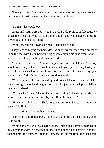"I love you more." Parker's mouth clung back onto Justin's, and assoon as Parker said it, Justin knew that there was no possible way.

\*\*\*\*

"I'll miss this you know."

Parker and Justin were now lying in Parker's bed, trying to huddle together under the sheet that was balled up into a lump and was nowhere close to covering up their naked bodies.

"What, sharing your twin-size bed?" Justin asked him.

They were both lying on their sides, the only way that they could properly fit on the bed, with Justin being the big spoon, draping his hand over Parker's stomach and slowly rubbing it back and forth.

"This room, this house." Parker flipped over to look at Justin. "I worry about my mom, you know. It's not the same with your parents, they have your sister, they have each other. With my mom, it's different. It was always just her and me." Parker's voice had a worried tone to it.

"You have me." Justin reached up and brushed Parker's hair out of his eyes, it was grown out and shaggy, down past his jaw with small pieces falling over his forehead.

"That's what I mean." Parker let out a small sigh. "I have you and she has no one, she's just gonna be here, by herself, in this house…"

"Hey, don't talk like that. She's not gonna be alone. She still has you. She has us. We'll visit."

Parker didn't look entirely convinced.

"Parker, do you remember what else you told me the first time I was in your room?"

"What's that?" Parker was surprised that Justin could even remember so much from that day, he had thought that it had gone all so horribly, but now that he knew the truth, now that he knew that it was the first time that Justin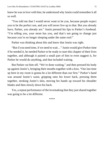knew he was in love with him, he understood why Justin could remember it all so well.

"You told me that I would never want to be you, because people expect you to be the perfect son, and you will never live up to that. But you already have, Parker, you already are." Justin pressed his lips to Parker's forehead. "I'm telling you, your mom has you, and that's not going to change just because you're no longer sleeping under the same roof."

Parker was thinking about this and knew that Justin was right.

"But if you need time, if we need to wait…" Justin would give Parker time if he needed it, he needed Parker to be ready to start this chapter of their lives together, and although it pained a small part of him to even suggest it, for Parker he would do anything, and that included waiting.

But Parker cut him off, "We're done waiting," and then pressed his body up against Justin's, bringing their mouths together with a kiss. "Our last time up here in my room is gonna be a lot different than our first." Parker's hand was around Justin's waist, gripping onto his lower back, pressing them together, stroking Justin's skin, moving his hands up toward his shoulder blades and then slowly down his back.

Yes, a repeat performance of the lovemaking that they just shared together was going to be a lot different.

\*\*\*\*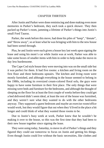## CHAPTER THIRTEEN

After Justin and Parker were done reminiscing and done making even more memories in Parker's bedroom, they each took a quick shower. They then packed up Parker's room, jamming a lifetime of Parker's things into Justin's small Ford Taurus.

Parker, the week before this move, had done his piles of "keep", "donate", and "throw away", so at least what he was bringing with him to the new house had been sorted through.

Plus, he and Justin were each given a house key last week upon signing the lease and using his mom's car while Justin was at work, Parker was able to take some boxes of smaller items with him in order to help make the move-in day less burdensome.

The Cape Cod style house they were moving into was on the small side but it was perfect for them. It had five rooms: a kitchen and living room on the first floor and three bedrooms upstairs. The kitchen and living room were mostly furnished, and although everything in the house seemed to belong in the 1980s, including its oversized cream-colored floral sofa, the guys were happy to have some furniture in their first place. The only things that were missing were beds and furniture for the bedrooms, and although the thought of sleeping on the floor for at least the first couple of weeks before they could get a bed delivered didn't seem ideal, at least the rest of the house was furnished, and they weren't sure what they wanted to do with the other bedrooms anyway. They supposed a guest bedroom and maybe an exercise room/office would work, but they would figure that out when they'd lived in the place a bit longer and could think of what they wanted those rooms to be.

Due to Justin's busy week at work, Parker knew that he wouldn't be making it over to the house, so this was the first time that they had been to their new house together since signing the lease.

They were using today, Saturday, to move in all of Parker'sthings and they figured they could use tomorrow to focus on Justin and getting his things. Even though Justin could live without the basic necessities, like clothes and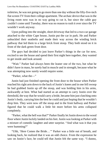toiletries, he was not going to go more than one day without the fifty-five-inch flat screen TV from their college apartment. The archaic device that was in the living room now was in no way going to cut it, but since the cable guy couldn't come until Tuesday, there was no reason to rush it over since the TV wouldn't work anyway.

Upon pulling into the straight, short driveway that led to a two-car garage attached to the white Cape house, Justin put the car in park. He and Parker unbuckled their seatbelts and made their way across the winding brick pathway that led them to a large brick front stoop. They both stood on it in front of the dark green front door.

The guys had decided to just leave Parker's things in the car for now, excited to see the house and spend their first night here together, they wanted to get inside and look around.

"Wait." Parker had always been the leaner one of the two, but what he didn't have in mass, he surely had in muscle and in strength, because what he was attempting now surely would require some.

"Parker, what the—"

Justin had just finished opening the front door to the house when Parker reached his right arm down to the back of Justin's knees and in one fell swoop he had grabbed Justin up off the stoop, and was holding him in his arms, awkwardly at best. What had started as an attempt to carry Justin over the threshold, the way that he would carry a bride, became him just clutching onto Justin's body, carrying him the best he could and just hoping that he wouldn't drop him. They were now off the stoop and in the front hallway and Parker figured that he could walk a little bit more before his arms collapsed completely.

"Parker, what the hell was that?" Parker finally let Justin down to the wood floor where Justin luckily landed on his feet. Justin was looking at Parker with a mixture of comedic laughter and utter surprise. "And what was it that you were humming?"

"Uhh, 'Here Comes the Bride…'" Parker was a little out of breath, and looking back, he realized that it was an odd choice. From the expression he saw on Justin's face, he could tell that Justin felt the same way. "I dunno,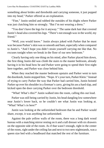something about brides and thresholds and carrying someone, it just popped into my head," Parker offered as an explanation.

"Fine," Justin smiled and rubbed the outsides of his thighs where Parker was just clutching him so strongly. "But I'm not wearing a dress."

"You don't have the legs for it anyway." The same dark hair that covered Justin's head also covered his legs. "There's not enough wax in the world, my friend"

"Well, you would know." Justin always joked with Parker that he must wax because Parker's skin was so smooth and bare, especially when compared to Justin's. "And I hope you didn't strain yourself carrying me like that. No excuses tonight when we break in the floor of our new bedroom."

Clearly having only one thing on his mind, after Parker placed him down, the first thing Justin did was climb the stairs to the master bedroom, already having it in his head how he and Parker were going to spend their first night here together, and Parker was close behind him.

When they reached the master bedroom upstairs and Parker went to turn the doorknob,Justin stopped him. "Nope. It's your turn, Parker Klein." Instead of trying to carry Parker the way that Parker had carried him, Justin hoisted Parker up over his shoulder in a fireman's carry, giving his ass a hard slap, and kicked open the door carrying Parker over the bedroom threshold.

"What! What's this?" Justin walked into the room, calling this out loud.

Parker was still being carried by Justin, his head dangling low somewhere near Justin's lower back, so he couldn't see what Justin was looking at. "What? What's in here?"

Justin was looking at the unfurnished bedroom that he and Parker would share, except, it was anything but unfurnished.

Against the pale yellow walls of the room, there was a long dark wood bureau with a matching mirror resting on it and a tall dresser with six drawers on the opposite side of the room. As if that wasn't enough, right in the center of the room, right under the ceiling fan and next to two new nightstands, was a queen size bed with a headboard that matched the rest of the furniture.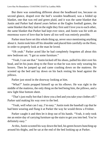But there was something different about the headboard too, because on second glance, draped over the bed's wooden headboard, was a folded up blanket, one that was red and green plaid, and it was the same blanket that Justin and Parker had shared years before at the Eagles football games, the same blanket that they laid on the night they first said I love you to each other, the same blanket that Parker had kept ever since, and Justin was hit with an enormous wave of love that he knew all too well was entirely possible.

Parker must have set this whole thing up, never once mentioning anything about it.Justin took him off hisshoulder and placed him carefully on the floor, in order to properly look at the man he loved.

"Oh yeah." Parker acted like he had completely forgotten all about this new bedroom set. "I got us some furniture."

"Yeah, I can see that." Justin kicked off his shoes, pulled his shirt over his head, and let his jeans drop to the floor so that he was now only wearing his boxers. Then he jumped up and came crashing down on the mattress. He scooted up the bed and lay down on his back resting his head against the pillows.

Parker just stood in the doorway looking at him.

"What?" Justin propped himself up on his elbows. He was right in the middle of the mattress, the only thing on the bed being him, the pillows, and a new light blue bottom sheet.

"That's just really hot that I show you a bed and you take your clothes off." Parker said making his way over to the bed.

"Yeah, well what can I say, I'm easy." Justin took the baseball cap that he had been wearing and flung it at Parker the way he would throw a Frisbee.

Parker caught it and then let it drop out of his hands. "Yeah, it only took me an entire day of carrying furniture up the stairs to get you into bed. You're definitely easy."

At this,Justin scooted his way down the bed, his green boxers bunching up around his thighs, and he sat at the end of the bed looking up at Parker.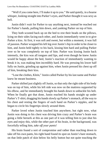"Well if you come here, I'll make it up to you." He said quietly, in a hoarse whisper, looking straight into Parker's eyes, and Parker thought it was sexy as hell.

Justin didn't wait for Parker to say anything next, instead he reached out for Parker's hands, pulling him down, and yanking Parker on top of him.

They both scooted back up on the bed to rest their heads on the pillows, lying on their sides facing each other, and Justin immediately went in to give Parker a kiss. At first, it was soft and sweet, but within a moment, it was full of passion. Parker wrapped hisleft leg overJustin's hip in order to be closer to him, and Justin held tightly to his back, kissing him hard and pulling Parker over so he was completely on top of him. Parker was kissing Justin back intensely, the kiss was all tongues and lips, and even though he knew Justin would be happy about the bed, Justin's reaction of immediately wanting to break it in, was making him incredibly hard. He was pressing his lower half fully on Justin, grinding up against him, when Justin pressed his chest up off of him, breaking their kiss.

"Lose the clothes, Klein," Justin called Parker by hislast name and Parker knew he meant business.

Parker shifted just slightly off Justin, so that only the right side of his body was on top of him, while his left side was now on the mattress supported by his elbow, and he immediately brought his hands down to unbuckle his belt. When he finally got that done, Justin reached his hands straight up under Parker's T-shirt, dragging his hands slowly up Parker's stomach, all the way to his chest and resting the fingers of each hand on Parker's nipples, and he began to circle his fingertips slowly around them.

Parker loved when Justin touched him anywhere, but right now, what Justin was doing to his chest was driving him crazy and Parker's brain was going a little berserk at this as one part of it was telling him to just shut his eyes and enjoy this, while the other part of his brain, in the background, was forcefully telling him, *take off your pants!*

His brain found a sort of compromise and rather than reaching down to take off his own pants, his right hand found its spot on Justin's bare stomach, on that little patch of skin below his belly button but not quite touching the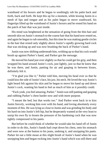waistband of his boxers and he began to soothingly rub his palm back and forth, back and forth. He kept this up for a moment, while kissing Justin in a mesh of lips and tongue and as his palm began to move southward, his fingertips lifted up the waistband of Justin's boxers and he rested his hand on the patch of hair that was just inside.

His mind was heightened at the sensation of going from the thin hair and smooth skin on Justin's stomach to the coarse hair that his hand now rested on, and again he began to rub smoothly, but this time he was making gentle circles in the hair that rested only slightly above Justin's rapidly growing hard cock that was sticking up and was now brushing the back of Parker's hand.

Justin was now shifting underneath him, writhing up so that his cock would brush up against Parker's hand, and Parker got the message.

He moved his hand just over slightly so that he could get his grip, and then wrapped his hand around Justin's cock, just lightly, just so that he knew that he was there, and Justin, panting for air and gasping in between kisses, definitely felt it.

"I'm glad you like it," Parker told him, moving his head over so that he could kiss the side of Justin's face, his jaw, his neck. He loved the way Justin's light beard felt against his skin and he began to move his hand up and down Justin's cock, wanting his hand to feel as much of him as it possibly could.

"Fuck yeah, you feel amazing, Parker." Justin wasstill panting and gasping and rubbing Parker's chest harder now and with more purpose.

"I meant the bed, but that works too." And Parker went back in to kiss Justin fiercely, working him over with his hand, and loving absolutely every moment of this. He waslying so close to Justin and was grinding his body and his hard-on into Justin's left hip, but he desperately wanted at the very least to unzip his own fly to lessen the pressure of his hardening cock that was now tightly compressed in his pants.

But before he could think of whether he would take his hand off of Justin in order to do this, Justin's hands had crept down his chest, onto his stomach and were now at the button to his jeans, undoing it, and unzipping his pants. Parker let out a little moan at this slight brush of Justin's hand when he was unzipping him and began rocking into Justin's hand which was still there and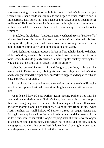was now making its way into the hole in front of Parker's boxers, but just when Justin's hand made its way inside and began to brush Parker's cock a little harder, Justin pulled his hand back out and Parker popped open his eyes in disbelief. He loved it when Justin was just rubbing his chest, but now that he had touched his cock and then took his hand away… Parker let out a whimper.

"Isaid, lose the clothes." And Justin gently pushed the rest of Parker off of him so that Parker lie flat on his back on the left side of the bed, his head resting on the pillows, and Justin came over him, kissing him once on the mouth, before sitting down upon him, straddling his waist.

Justin let his full weight rest upon Parker and brought his hands to the hem of Parker's shirt, hooking his thumbs up under it, and dragging it up Parker's torso, where his hands quickly brushed Parker's nipples but kept moving their way up so that he could take Parker's shirt off entirely.

When he removed Parker's shirt and flung it to the floor, he brought his hands back to Parker's chest, rubbing his hands smoothly over Parker's skin, and his fingers found their spot back on Parker's nipples and began to rub and tease Parker all over again.

Parker closed his eyes and let out a few soft moans all the while lifting his hips to grind up into Justin who was straddling his waist and sitting on top of him.

Justin leaned forward onto Parker, again meeting Parker's lips with his own and began kissing down Parker's face, down on to his chin, stopping there and then going down to Parker's chest, making small pecks all in a row, one after another along his collarbones. Kissing inward from the side, when Justin reached the small hollow of Parker's throat, he began kissing and licking his way up his neck, at first small little licks around the base and in the hollow, but soon Parker felt the long swooping licks of Justin's warm tongue up the entire length of his neck, and Parker was helpless against him, panting and gasping and clutching on to Justin's lower back, keeping him pressed to him, desperately not wanting to break the connection.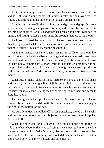Justin's tongue stayed glued to Parker's neck as he ground down into him and he kept licking along the side of Parker's neck while he moved his head slowly upwards, taking his time to taste Parker's amazing skin.

After hearing more of Parker's soft moans and groans and gasps, Justin sat up on Parker, removing his lips from his neck, and reached behind himself in order to grab ahold of Parker's hands that had been gripping hislower back so tightly, and taking Parker's hands in his, he brought them up to his mouth.

Justin softly kissed the back of both of Parker's hands and each palm and then brought them back towards the mattress and up and over Parker's head so that now Parker's knuckles grazed the headboard.

Justin then leaned over Parker again, kissing him softly on the mouth like he had done to his hands and began making small open mouthed kisses down his neck and onto his chest, this time not taking his time as he slid down Parker's body, stopping for a short while to kiss Parker's nipples, but not stopping long at this detour. Parker's pants, although they were unzipped, were still on, and as he kissed Parker lower and lower, he was on a mission to take them off.

When Justin finally found his mouth on the only hair that Parker had on his entire torso, the thin straight line of light brown hair that ran down from Parker's belly button and disappeared into his jeans, he brought his hands to Parker's jeans waistband, sliding the tips of his fingers into them and began to drag them down.

The jeans got bunched up at Parker's knees, so Justin scooted up off Parker completely and maneuvered down the bed some more until he was standing on the floor at the bottom of the bed.

He quickly untied and pulled off Parker's sneakers, peeled off his socks, and grabbed the bottom cuff on his jeans, which he then forcefully pulled down and off.

When he finally got Parker's jeans off, he walked on the floor to the left side of the bed where Parker was still lying, and sat next to him on the edge. He leaned down to kiss Parker's mouth, planting hot and firm open mouthed kisses onto his lips and then sat up and scooted down the bed some so that he could reach down to Parker's boxers and take them off.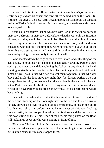Parker lifted his hips up off the mattress as to make Justin's job easier and Justin easily slid off his boxers and threw them behind him on the floor. Still sitting on the edge of the bed, Justin began rubbing his hands over the tops and insides of Parker's thighs, teasing him mercilessly, all the while careful not to touch anywhere else.

Justin couldn't believe that he was here with Parker in *their* new house in *their* new bedroom, in *their* new bed. He knew that this was only the first time of many that they would be together in bed like this, and that thought alone was driving him crazy in the moment, and his whole body and mind were consumed with not only the time they were having now, but with all of the times that were still to come, and he couldn't stand to tease Parker anymore, because by doing so, he was only torturing himself.

So he scooted down the edge of the bed even more, and still sitting on the bed's edge, he took his right hand and began gently stroking Parker's erect cock up and down, up and down, loving the feel of his boyfriend in his hand, wanting to give him the most incredible pleasure imaginable and thinking to himself how it was Parker who had brought them together. Parker who was brave and made the first move the night they first kissed, Parker who was always there for him, no matter what, there to laugh, there to talk, there to listen. Parker who was his best friend, his boyfriend and his entire world, and if he didn't have Parker in his life he knew with all of his heart that he would have nothing.

It was with these thoughts in mind that Justin shifted himself off the side of the bed and stood up on the floor right next to the bed and looked down at Parker, allowing his eyes to gaze over his entire body, taking in the entire breathtaking sight of him before meeting Parker's eyes with his own. Looking back at Justin, Parker propped himself up on his elbows and then sat up so he was now sitting on the left side edge of the bed, his feet planted on the floor, still looking up at Justin who was standing in front of him.

"Now you." Parker told him. Justin was still wearing his own boxers and Parker reached his hands up into the top of them, wanting to drag them down, but Justin's hands met his and stopped them.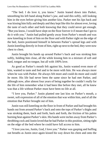"The bed. I do love it, you know." Justin leaned down into Parker, smoothing his left hand along Parker's jaw, and said this softly, still looking him in the eyes before giving him another kiss. Parker met his lips back and was kissing him fully and deeply and they kept like this for almost ever, loving the taste of each other and both knowing that they could never get enough. "But you know, I would have slept on the floor forever it if meant that I got to do it with you." Justin had pulled gently away from Parker's mouth and was now kneeling in front of him on the floor and with Parker right on the edge of the bed, Justin positioned himself in between Parker's spread legs and with Justin kneeling directly in front of him, right up next to the bed, they were now chest to chest.

Justin brought his hands up around Parker's back and was stroking him softly, holding him close, all the while kissing him in a mixture of soft and hard, tongue and no tongue, but all with 100% love.

As good as Parker's mouth felt against his, Justin wanted even more of him, wanted to taste and feel and to be more with him. He was always more when he was with Parker. He always felt more and could do more and could *be* more. His life had never been the same since he had met Parker, and although now, after almost four years of being together he couldn't really for the life of him remember what it had been like before they met, all he knew was that a life without Parker must have been no life at all.

"I love you, Parker." Justin planted one last kiss on Parker's mouth, a sweet, soft expression of all of the emotion that was within him, and of all the emotion that Parker brought out of him.

Justin was still kneeling on the floor in front of Parker and had brought his hands out from around Parker's back and onto the tops of Parker's thighs and was stroking them, back and forth, back and forth, the friction of his palms burning heat against Parker'sskin. His hands were inches away from Parker's throbbing cock and Justin loved that he had Parker in this position, sitting right on the edge of the bed where he could have full access to him.

"I love you too, Justin, God, I love you." Parker was gasping and huffing out breaths as Justin once again kissed his way down his chest and onto the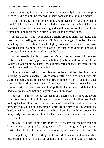straight trail of light brown hair that ran below his belly button, not stopping once as he did so until he reached Parker's cock and took it in his mouth.

At this point, Justin was done with taking things slowly and now that he could feel Parker inside of him and felt the pulsing and throbbing of Parker's cock with every licking and sucking and swallowing action he took, Justin wanted nothing more than to bring Parker up and over the edge.

Parker ran his hands over Justin's short, cropped hair, massaging and caressing and feeling and wanting. Sitting on the edge of the bed, he was hunching over, with his stomach slightly concave as he leaned in down towards Justin, wanting to be as close as physically possible to him while Justin was kneeling in front of him on the floor.

Parker rested his hands on top of Justin's head the best he could in between Justin's slick, deliriously pleasurable bobbing motions and every time Justin looked up to meet his eyes, Parker would stare straight back into them, and he could barely hold back from coming.

Finally, Parker had to close his eyes as he could feel the final tingle building up low in his belly. His hips were gently rocking back and forth into Justin's mouth and his thighs were on fire from the friction of Justin's hands consistently working them over. He wanted to let Justin know what was coming next. He knew Justin wouldn't pull off, that he never did, but still he had to at least say something, anything to let him know.

"Justin—" Parker's voice was eager and hoarse and he kept his mouth open after he said this and his eyes were screwed shut so he didn't see Justin looking back up at him when he said his name. Instead, he could just feel the pressure of Justin's mouth becoming tighter around him as Justin brought his hands quickly away from Parker's thighs and put them right in between his legs, softly touching and stroking his balls, and that extra touch right there is what did it.

"Justin—" Parker let out a few more stifled breaths and the next thing he knew he was gasping and panting even harder as he dug his fingertips into Justin's hair, bucked his hips up one more time, and came in Justin's mouth.

He kept his eyes closed, riding out the incredible sensations that Justin had just created in him. He could feel Justin's mouth still on him, but the licking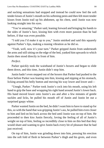and sucking sensations had stopped and instead he could now feel the soft tender kisses of Justin's mouth on his softening penis and then felt more tender kisses from Justin trail up his abdomen, up his chest, until Justin was now looking straight into his eyes.

"You're amazing," Parker said, leaning forward and bringing his hands to the sides of Justin's face, kissing him with even more passion than he had before, if that was even possible.

"I told you I'd make it up to you," Justin smirked and said this squarely against Parker's lips, making a teasing vibration as he did so.

"Yeah, well, now it's your turn." Parker gripped Justin from underneath the arms and still sitting on the edge of the bed, yanked him upwards to which Justin then stood directly in front of him.

### *Perfect.*

Parker quickly took the waistband of Justin's boxers and began to slide them down, and this time, Justin didn't stop him.

Justin hadn't even stepped out of the boxers that Parker had pushed to the floor before Parker was leaning into him, kissing and nipping at his stomach, licking around his belly button and moving his way lower and lower and—

"Unngh, Parker." Parker took Justin's cock into his mouth, using his left hand to grip the base and wrapping his right hand around Justin's lower back. His hand moved lower onto Justin's ass and after a few minutes of gentle suckles and licks, he pulled his mouth off of Justin and Justin let out a surprised gaspy whine.

Parker wanted Justin on the bed, he didn't want him to have to stand up for this,so with the hand that was gripping Justin's ass, he pulled him even closer to him and lied on his back across the bed until Justin was on top of him. He proceeded to then kiss Justin fiercely, loving the feeling of all of Justin's weight on top of him, feeling so incredibly close to him on this bed that they would share and wanting to give Justin back every bit of pleasure that he had just received.

On top of him, Justin was grinding down into him, pressing his erection into the soft fold of flesh in between Parker's thigh and his groin, and even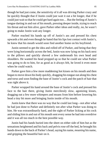though he had just come, the sensitivity of it all was driving Parker crazy and he quickly thought that if Justin could just wait it out a bit longer, that if he could just wait so that he could get hard again too... But the feeling of Justin's tongue darting in and out of his mouth, pressing deeper inside, trying to reach his throat and eat him alive, gave Parker other ideas and really, no, he wasn't going to make Justin wait any longer.

Parker reached his hands up off of Justin's ass and pressed his chest upwards a bit and even though he hated that his lips lost contact with Justin's, he knew that his mouth would soon find another home on his boyfriend.

Justin seemed to get the idea and rolled off of Parker, and being that they were lying horizontally across the bed, Justin was now lying on his back next to the pillows and quickly shoved a few underneath his own head and shoulders. He wanted his head propped up so that he could see what Parker was going to do to him, for as good as it always felt, he loved it even more when he could watch.

Parker gave him a few more maddening hot kisses on his mouth and then began to move down his body quickly, dragging histongue out along his chest and torso and soon finding the base of Justin's cock and the patch of hair that was right above it.

Parker wrapped his hand around the base of Justin's cock and pressed his face to the hair there, giving Justin mercilessly slow, agonizing kisses, dragging out a few more whimpers and moans from him before lowering his head a tiny bit more and bringing Justin inside of his mouth.

Justin knew that there was no way that he could last long—not after what he had just done to Parker and definitely not after what Parker was doing to him. He was extraordinarily hard, and the sight of Parker licking at his cock and sliding him in and out of his mouth sent every sense he had into overdrive and it was all too much in the best possible way.

Justin had his hands buried into the sheet on either side of him but as the sensations heightened and his back and pelvis rose off the bed, he brought his hands down to the back of Parker's head, saying his name, *moaning* his name, and gripping the beautiful hair on it.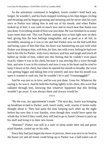As the sensations continued to heighten, Justin couldn't hold back any longer, he wouldn't, and his brain stopped working as his hips began circling and thrusting and he began groaning and moaning and he never shut his eyes once as Parker was taking him in and out of his mouth, and when Parker looked up at him, it was with so much love and so much heat that Justin was just done. Everything inside of him was just done. He was finished in so many ways more than one. This was Parker, making love to him right now on their bed, giving him the best feelings imaginable, and as good as it all felt, as incredibly amazing as it was to see and feel Parker now on the bed with him and being a part of him like that, his heart was hammering not just with what Parker was doing to him, *with* him, *for* him, but with every feeling he had ever had in his life for Parker, with every memory and kiss and laugh and touch all balled up inside of him, rolled into this feeling that he couldn't even place exactly where it was in his chest, because it was moving like a wave through him, and now it was in his stomach and now it was in his heart and he tried to keep it down in his chest, but when he opened his mouth to breathe, the wave was getting bigger and taking him over entirely and now that his mouth was open it wanted to rush out, but he wouldn't let it and "Unnnnnggghh!"

And he was just so in love, and he was just done. Gone for. Whatever the saying is, he was it. And he held this feeling tightly in his chest, this wave that radiated through him, knowing that whatever happened that this feeling wouldn't go away. It was always there and always would be.

\*\*\*\*

"By the way, my appointment's made." The next day, Justin was bringing up breakfast-in-bed to Parker, well, lunch really, well, snacks if Justin really thought about it. They had quite the time keeping each other up the night before but now that it was Sunday, even though they would have spent the whole day in bed if they could, they still had to go to Justin's house to pack up his stuff and bring it to their new house.

"Hmmm?" Parker was still in a state of sleep under their red and green plaid blanket, curled up on his side.

Since they had just begun the move-in process, there was next to no food in the house yet and all Justin could bring up to Parker was a half-eaten can of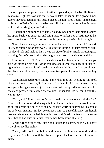potato chips, an unopened bag of tortilla chips and a jar of salsa. He figured this was all right for now, and that he would take Parker out for a proper lunch before they grabbed his stuff. Justin placed the junk food bounty on the night table next to Parker's side of the bed and climbed back on the bed to lie down on his side, curling up into Parker.

Although the bottom half of Parker's body was under their plaid blanket, his upper back was exposed, and lying next to Parker now, Justin traced his hand over Parker's "02" tattoo and put his mouth up against it, kissing it.

"I said I made my appointment. You said you went to Ronnie at Armed & Inked, he put me in for next week." Justin was kissing Parker's tattooed right shoulder blade and making his way up the side of Parker's neck, caressing and brushing Parker's nearly shoulder length hair over to the side as he did so.

Justin wanted his "01" tattoo on hisleftshoulder blade, whereas Parker got his "02" tattoo on his right. Upon thinking about where to place it, it just felt right to have it put on his left, on the same side as his heart and to compliment the placement of Parker's, like they were two parts of a whole, because they were.

"Gonna get inked for me, hmm?" Parker hummed out. Feeling Justin'ssoft kisses and gentle caresses, Parker was still in that blissful state between being asleep and being awake and just then when Justin wrapped his arm around his chest and pressed him even closer to him, Parker felt like he could stay this way forever.

"Yeah, well I figure you don't get to be the only one to have all the fun." Now that Justin was curled in right behind Parker, he felt like he would never be able to get up and out of bed again. Parker's warm skin pressing up against his body was making him feel so calm, so safe, so peaceful, and even though they were home now, in their home, Justin couldn't help but feel that the entire time that he had known Parker, that he had been home all along.

Parker turned over to face Justin and looked in his eyes. "Fun? You know it involves needles right?"

"Yeah, well I told Ronnie it would be my first time and he said he'd go easy on me." Justin's mouth had found its place back on the side of Parker's neck.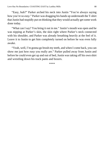"Easy, huh?" Parker arched his neck into Justin "You're always saying how you're so *easy*." Parker was dragging his hands up underneath the T-shirt that Justin had stupidly put on thinking that they would actually get some work done today.

"What can I say? You bring it out in me." Justin's mouth was open and he was nipping at Parker's skin, the skin right where Parker's neck connected with his shoulder, and Parker was already breathing heavily at the feel of it. Leave it to Justin to get him completely turned on before he was even fully awake.

"Yeah, well, I'm gonna go brush my teeth, and when I come back, you can show me just how *easy* you really are." Parker pulled away from Justin and before he could even get up and out of bed, Justin was taking off his own shirt and wrestling down his track pants and boxers.

\*\*\*\*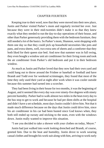## CHAPTER FOURTEEN

Keeping true to their word, now that they were moved into their new place, Justin and Parker visited Parker's mom and regularly invited her over. Just because they were in their mid-twenties didn't make it so that they knew exactly what they needed to run the day-to-day operations of their house, and other than Parker generously providing them with the bedroom furniture, they still needed a lot of the basics. So Parker's mom, Shannon, went shopping with them one day so that they could pick up household necessities like pots and pans, and extra sheets, well, two extra sets of sheets and a comforter that they both liked for their queen size bed. And now that summer was in full swing, they even bought a window unit air conditioner for their living room and took the air conditioner from Parker's old bedroom and put it in their bedroom window.

As much as Justin and Parker loved that they now had their own yard and could hang out to throw around the Frisbee or baseball or football and have Brandt and Todd over for weekend scrimmages, they found that most of the time they only used their yard at night after work when it was cooler outside because this summer had turned into a scorcher.

They had been living in their house for two months, it wasthe beginning of August, and it seemed like every day was over ninety-five degrees with ninety percent humidity. Parker had to walk almost two milesin the heat every day to the bus stop to get to work and because he had per diem shifts at the hospital and didn't have a set schedule, most days Justin couldn't drive him. Not that it made much difference because on the days that Justin could drive him, since his air conditioner in his car had been busted since God knows when, they both still ended up sweaty and sticking to the seats, even with the windows down. Justin really wanted to improve this situation.

"I see you decided to take a shower with your clothes on today, Meyer."

Justin had just walked into work looking drenched and Brandt, of course, greeted him. Due to the heat and humidity, Justin drove to work wearing casual clothes and brought his work suit along with him, arriving to work early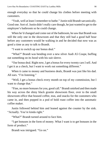enough everyday so that he could change his clothes before meeting with customers.

"Yeah, well at least I remember to bathe." Justin told Brandt sarcastically. Good one. Sort of. Justin didn't really care though, he just wanted to get to the employee's bathroom so he could change.

When he'd changed and come out of the bathroom, he saw that Brandt was still the only one in the showroom and that they still had a good half hour before any customers would be walking in and he decided that now was as good a time as any to talk to Brandt.

"I want to switch up our bonus deal."

"What?" Brandt was bending over a new silver Audi A5 Coupe, buffing out something on its hood with his suit sleeve.

"Our bonus deal. Right now, I get a bonusfor every twenty cars Isell. And I get it as a check, but I want to work out something different."

When it came to money and business deals, Brandt was just like his dad. All ears. "I'm listening."

"Well, I get a bonus check every month on top of my commission, but I want to change that."

"Fine, no more bonuses for you, good call." Brandt smirked and then made his way across the shiny black granite showroom floor, over to the small showroom office that housed coffee, teas, and snacks for the customers who came in, and then popped in a pod of bold roast coffee into the automatic coffee maker.

Justin followed behind him and leaned against the counter by the sink. "Actually. You're kinda right."

"What?" Brandt turned around to face him.

"I get bonuses in the form of money. What I want is to get bonuses in the form of product."

Brandt was intrigued. "Go on."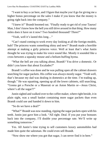"I want to buy a car here, and I figure that maybe you'd go for giving me a higher bonus percentage on the sales I make if you know that the money is going right back into the company."

"I knew it!" Brandt boomed out. "Finally ready to get rid of your Taurus! Man, I don't know how the hell you still drive around in that thing. How many miles does it have on it now? Two hundred thousand? Three?"

"Yeah, well it's lasted this long…"

"Can't stand coming to work every day looking at all the foreign models, huh? The princess wants something shiny and new!" Brandt made a horrible attempt at making a girly princess voice. Well at least that's what Justin thought he was trying to make his voice sound like. Mostly it sounded like a cross between a squeaky mouse and a helium-huffing hyena.

"What the hell are you talking about, Brandt? You drive a domestic. Or didn't you know that about Escalades?"

Brandt's coffee was done and he was pulling open all the cabinet drawers searching for sugar packets. His coffee was always mostly sugar. "Yeah well, that's because my dad was dealing in domestics at the time. I'm trading up, though." He was squatting, opening up all the lower cabinets, still searching. "Gonna get a Porsche or a Maserati or an Aston Martin or—Jesus Christ, where's all the sugar?!"

Justin sighed and walked over to the coffee maker, where right beside, it in plain sight, was a small basket containing more sugar packets than even Brandt could use and handed it down to him.

"So do we have a deal?"

"What?" Brandt was now standing, ripping the sugar packets open with his teeth. Justin just gave him a look. "All right. Deal. If you put your bonuses back into the company, I'll double your percentage rate. We'll write up something tomorrow."

Yes. All Justin's time trying to sell customers luxury automobiles had made him quite the salesman. He could even sell Brandt.

"Now show me where you got that sugar, I can never find it in here."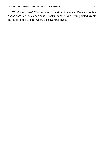"You're such a—" Wait, now isn't the right time to call Brandt a doofus. "Good boss. You're a good boss. Thanks Brandt." And Justin pointed over to the place on the counter where the sugar belonged.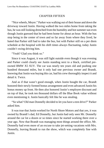### CHAPTER FIFTEEN

"Nice wheels, Meyer." Parker was walking out of their house and down the driveway toward Justin. Having walked the two miles home from taking the bus, he was still looking drenched from the humidity and hot summer sun even though Justin guessed that he had been home for about an hour. With the bus stop being in the center of town and so far away from where they lived, he hated that Parker still had to take the bus, but with Parker still on a per diem schedule at the hospital with his shift times always fluctuating, today Justin couldn't swing driving him.

"Yeah? Glad you think so."

Since it was August, it was still light outside even though it was evening and Parker could clearly see Justin standing next to a black, certified preowned BMW X5 SUV. The car was nearly ten years old and pushing one hundred thousand miles, but it only had one previous owner and Brandt, knowing that Justin was buying this car, had his crew thoroughly inspect it and detail it. Twice.

And as if that wasn't good enough, when Justin bought the car, Brandt honored their newly formed bonus arrangement and even advanced Justin his bonus money up front. He then also honored Justin's employee discount and on top of that, he took ten thousand dollars off the Blue Book value without even mentioning it. Justin basically felt like he was stealing.

"So what? Old man Donnelly decided to let you have a test drive?" Parker asked him.

It was true that Justin worked for North Shore Motors and that yes, it was owned by Brandt's dad, Ed Donnelly, but Justin had only seen Mr. Donnelly around the car lot a dozen or so times since he started working there over a year ago. Now that Brandt was managing most things around the office, Mr. Donnelly had even more of an excuse to take jet-setting vacations with Mrs. Donnelly, leaving Brandt to run the show, which was completely fine with Justin.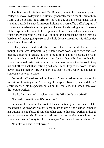The first time Justin had met Mr. Donnelly was in his freshman year of college on move-in day and Mr. Donnelly honestly scared the shit out of him. Justin wasthe second kid to arrive on move-in day and all he could hear while standing outside his new dorm room holding an overstuffed duffle bag full of clothes, was the barely muffled yelling of a man inside taking note of the state of the carpet and the lack of closet space and how it only had one window and wasn't there someone he could yell at about this because he didn't want his hard earned money going to some shit-hole dorm where three shit-kicker kids were forced into a triple.

In fact, when Brandt had offered Justin the job at the dealership, even though Justin was desperate to get some more work experience and start making a decent paycheck, he took time to think about it because he really didn't think that he could handle working for Mr. Donnelly. It was only when Brandt reassured Justin that he would be his supervisor and that he would keep his dad off his back that Justin agreed, and Brandt kept to his word. He was never once hassled by Mr. Donnelly, not that he could really be hassled by someone who wasn't there.

"A test drive? Yeah something like that." Justin had never told Parker his intentions of buying a car. "So let's go for a spin. I figured you could drive." Justin reached into his pocket, pulled out the car keys, and tossed them over the hood to Parker.

"Dude, I just worked a twelve-hour shift. Why don't you drive?"

"I already drove it here. It's your turn."

Parker walked around the front of the car, noticing the blue dealer plates encased in a North Shore Motors license plate holder. "And old man Donnelly isn't going to shit a brick if something happens to this car?" Parker, although having never met Mr. Donnelly, had heard horror stories about him from Brandt and Justin. "Why is it here anyways? You never bring cars home."

"It's like you said, a test drive."

\*\*\*\*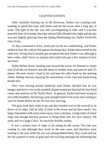#### CHAPTER SIXTEEN

After carefully backing out of the driveway, Parker was coasting east, wanting to spend this time with Justin and see the ocean after a long day of work. The light of the day was only just beginning to fade, and it was that peaceful time of evening when day almost fully blended into night and the sky was just slightly glowing from the fading illuminating sun. Parker loved this time of day.

As they continued to drive, Justin put on the air conditioning, and Parker smiled at how the cold air felt against his damp skin. Parker then turned on the radio low, loving that it actually got reception because Justin's car, although it had a radio, didn't have an antenna and could only get a few stations in here and there.

While Parker drove, heading east toward the ocean, he listened to Justin note of all the car features and talk about its leather seats and sunroof and CD player. He took Justin's hand in his and kept his other hand on the steering wheel, feeling relaxed, enjoying the smoothness of the road and Justin being beside him.

They were driving around aimlessly until Parker decided that he was hungry and drove over to the seashell shaped restaurant that had the best fried clams and seafood on the North Shore. In general, Parker had been trying to eat a little healthier, but having come straight home from work and wanting to wait for Justin before he ate, he was now starving.

The guys took their order to go and they headed over to the seawall to sit down on its edge, side by side, to look at the ocean and eat their meals: two large clam plates with extra tartar sauce, extra coleslaw, a large order of onion rings and enough ketchup packets to bring them into the next century. Oh yeah, and two large Cokes. *So much for healthy eating.*

It was a perfect time of night to be sitting by the ocean. The tide was coming in, and although they lived on the east coast, and therefore were looking to the east while the sun was setting behind them, they could still see the sky painted in tones of gold and rose swirling amongst the darkening hue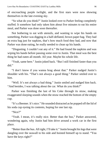of encroaching purple twilight, and the first stars were now showing themselves in the late evening sky.

"So what do you think?" Justin looked over to Parker feeling completely stuffed. It somehow had only taken him about five minutes to eat his entire meal, and Parker was done soon thereafter.

Not bothering to eat with utensils, and wanting to wipe his hands on something, Parker was digging in a half-deflated, brown paper bag. They had an extra bag just for napkins, that's how much food they had, and now that Parker was done eating, he really needed to clean up his hands.

"Disgusting. I couldn't eat any of it." He had found the napkins and was wiping his hands before passing some over to Justin. That meal was the best thing he had eaten all month. All year. Maybe his whole life.

"Yeah, same here." Justin joked back. "But I still finished faster than you did."

"I don't know if you wanna brag about that." Parker nudged Justin's shoulder with his. "That's not always a good thing." Parker smiled over to him.

"Well. It's not always a bad thing." Justin smiled and nudged him back. "And besides, I was talking about the car. What do you think?"

Parker was finishing the last of his Coke through its straw, making exaggerated slurping sounds when the straw reached the bottom of the empty cup.

"It's a Beemer. It's nice." He sounded distracted as he popped off the lid of his soda cup eyeing its contents, hoping for one last sip.

"Nice?"

"Yeah. I mean, it's really nice. Better than the bus," Parker answered, wondering again, why Justin had him drive around a work car in the first place.

"Better than the bus. All right, I'll take it." Justin brought his legs that were dangling over the seawall to his side and hoisted himself up to stand. "You have the keys right?"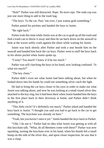"Huh?" Parker was still distracted. *Nope. No more sips.* The soda cup was just one more thing to add to the trash bag.

"The keys. To the car. Pass 'em over, I just wanna grab something."

Parker patted his pockets and handed the keys to Justin.

"Be right back."

Parker took this time while Justin was at the car to grab up all the trash and find a trash can to throw it away and then he sat back down on the seawall to look at the waves softly crash against the shore while waiting for Justin.

Justin was back shortly after Parker and took a seat beside him on the seawall and handed him back the car keys. Parker went to stuff the keys back in his shorts pocket when Justin spoke up.

"Corny? Too much? I knew it'd be too much."

Parker was still clutching the keys in his hand, now looking confused. "Is what too much?"

"The key chain."

Parker didn't even see what Justin had been talking about, but when he looked down into his hands he could see something silver catch the light.

He had to bring the car keys closer to his eyes in order to make out what Justin was talking about, and now he was looking at a small round silver disc attached to the key ring, but it had been there when Justin handed him the keys in the first place back in their driveway at home, and Parker didn't think anything of it.

"This little circle? It's definitely too much," Parker joked and handed the keys back to Justin. "I thought you said you had to go back to the car to get something. The keychain was already on here."

"Yeah, but you haven't seen it yet." Justin handed the keys back to Parker.

"Uhh, I do see it." Parker had no idea what Justin was getting at with all this keychain talk. "What, do all Beemers come with these?" Parker was now squinting, turning the keychain over in his hand, when his thumb felt a small bump on the side of the silver disc, and upon closer inspection, he saw that it was a clasp.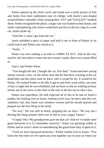Parker opened up the silver circle and inside was a small picture of him and Justin from their sophomore year of college, with Justin's arm draped around Parker'sshoulder while wearing their "GO" and "EAGLES!" football shirts. Parker recognized the photo, a larger one was framed in their house, and while contemplating why Justin would have put this on the key ring of a work car, Justin spoke up.

"And *this* is what I got from the car."

Justin unfolded a piece of paper and held it out in front of Parker so he could read it and Parker just stared at it.

"Justin…"

Parker was now reading a car title to a BMW X5 SUV. And on the very top line, the line where it states the new owner's name, there was a name filled in.

And it said Parker Klein.

"You bought the bed. I bought the car. Fair deal." Justin had been saving money toward a new car the entire time that he had been working at the car dealership and the entire time he knew who it would be for. It would be for Parker. He wanted Parker to be able to get to and from work safely, any time of day or night that he was scheduled, and not have to rely on walking on busy streets out in the snow or the sleet or the rain or the hot sun to take a bus.

Parker was speechless. He half expected all of this to be one of Justin's pranks, but looking over at Justin, looking in his eyes, he knew that this was somehow real, that Justin was somehow serious and his mouth opened and popped out the first thing in his mind.

"No way." He was still in shock, gripping the car keys. "No way am I driving this thing around while you're still in your crappy Taurus."

"Crappy! Hey! My grandparents gave me that car! And we've made some good memories in it if I remember correctly." Justin was grinning widely at Parker and he wasn't alone in remembering the good times they'd spent in it.

"Yeah we have had good memories." Parker looked over to Justin. "You know the first time we ever spent any time together was in your car when you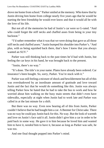drove me home from school." Parker smiled at the memory. Who knew that by Justin driving him home from college nearly five years ago that he would be starting the best friendship he would ever know and that it would all be with the love of his life.

But not all of the memories he had of Justin's car were so G-rated. "And who could forget the stiff necks and chaffed asses from being in your tiny backseat"

"I'd rather remember what it was that we were doing that gave us all those stiff necks and chaffed asses." Justin bumped hisshoulder into Parker's. "And plus, with us being squished back there, that's how I knew that you always wanted an SHV"

Parker was still thinking back to the past times he'd had with Justin, but feeling the car keys in his hand, he was brought back to the present.

"Justin, there's no way."

"It's done. The title's in your name. Plates have already been ordered. Car insurance's been bought. So, sorry, Parker. You're stuck with it."

Parker was still feeling a mixture of shock and bewilderment but all of this was overshadowed by an inordinate amount of gratitude and love toward Justin and the fact that he would do something like this. Justin was always telling Parker how he hated that he had to take the bus to work and how he worried about him walking on the busy main streets that didn't even have sidewalks, especially at night when Justin had to work late and Parker was called in at the last minute for a shift.

But there was no way. Even now hearing all of this from Justin, Parker couldn't believe that he had bought him a car. A Beemer for Christ sake. There was no way he could pay Justin back for this. No way. But the look of warmth and love on Justin's face said it all. Justin didn't give him a car in order to be paid back in some way. He gave it to him because he loved him and wanted him to have it, *needed* him to have it, because as long as Parker was safe, he was too.

And one final thought popped into Parker's mind.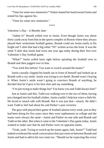"Time forsome new memories?" Parker leaned his head toward Justin and rested his lips against his.

"Time for some new memories."

\*\*\*\*

# *Valentine's Day – 6 Months later*

"Admit it!" Brandt yelled over to Justin. Even though Justin was about thirty yards away from him in the sports complex in Boston where they always played their wintertime football games, Brandt could see Justin easily in his bright red T-shirt that had a big white "IN" written across the front. It was the same T-shirt that Justin had worn one year ago today during their first ever Valentine's Day football game.

"What?" Justin yelled back right before spiraling the football over to Brandt and then jogged over to him.

"You tried this before! You want to switch around the teams!"

Justin casually clapped his hands out in front of himself and looked up at Brandt with a coy smile. Justin was trying to act dumb. Brandt wasn't buying it. When Justin's smile wasn't going to convince Brandt of anything, he decided that he'd give it his best shot and say something.

"I'm just trying to make things fair! You know you and Todd always lose!"

Just as Justin said this, Todd was walking over to the two of them, having just changed into his football clothes. Justin couldn't help but wince a little bit. He loved to smack talk with Brandt. But it was just that—smack. He didn't want Todd to feel bad about his and Parker's past victories.

The guys still played their game of football almost every week, just as they had been doing for five years since they were sophomores in college and the teams were always the same—Justin and Parker on one side and Brandt and Todd on the other. But when it came to the Valentine's Day game today, Justin wanted to make sure that he and Parker were on opposite teams.

"Yeah, yeah. Trying to switch up the teams again, huh, Justin?" Todd had indeed overheard the small conversation that just went on between Brandt and Justin and had to add in his two cents too. "Should we be expecting this every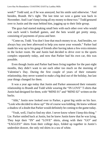week?" Todd said, as if he was annoyed, but his smile said otherwise. "And besides, Brandt. He's right. The last time we won a game was back in November. And I can't keep losing all my money to these two." Todd gestured over to Justin and the man behind him, jogging up to their little group.

The guys had started making small bets with each other over who would win each week's football games, and the bets would get pretty steep, consisting of payments of pizza and beer.

"Come on, Todd. You don't lose that much money to us. And besides, we always buy you beer afterward to help you nurse your wounds." Parker had made his way up to his gang of friends after having taken a few extra minutes in the locker room. He and Justin had decided to drive over to the sports complex separately today, and now that Parker had his own car, this was possible.

Even though Justin and Parker had been living together for the past eight months, they didn't want to see each other too much on the morning of Valentine's Day. During the first couple of years of their romantic relationship, they never wanted to make a big deal out of the holiday, but last year things changed for them.

It was a year ago today that Justin and Parker announced their romantic relationship to Brandt and Todd while wearing the "IN LOVE" T-shirts that Justin had designed for them, with "MINE 01" and "MINE 02" written on the backs.

"Ahh," Justin now looked over to Parker, a great big smile on his face. "Look who decided to show up!" He of course was kidding. He knew without a shadow of a doubt that Parker would definitely be coming to the game today.

"Yeah, well, I had to find my shirt. I never know where I keep this thing." Lie. Parker smiled back at Justin, but he knew Justin knew that he was lying. They kept their "IN" and "LOVE" shirts, along with their "GO" and "EAGLES!" shirts from their college days, folded up together in Justin's undershirt drawer, the only red shirts in a sea of white.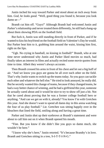Justin inched his way toward Parker and stood about an inch away from him. *God, he looks good.* "Well, good thing you found it, because you look damn se—"

Brandt cut him off. "Guys!" Although Brandt had welcomed Justin and Parker's relationship and never treated them differently, he still had a hang-up about them showing PDA on the football field.

But fuck it, Justin was still standing directly in front of Parker, and if he wanted to kiss his boyfriend on the football field on Valentine's Day he would. But Parker beat him to it, grabbing him around the waist, kissing him first, right on the lips.

"Ugh. No crying in baseball, no kissing in football!" Brandt, who at one time never understood why Justin and Parker liked movies so much, had finally taken an interest in films and actually recited some movie quotes from time to time. Albeit they weren't always accurate.

Then Brandt crossed his arms in front of his chest and let out a big huff of air. "And we know you guys are gonna be all over each other on the field. That's why Justin wants to switch up the teams today. So you guys can tackle each other and whatever the hell else." He tried to look annoyed, he really did. But he secretly wanted this change of teams, because if they changed teams, he had a way better chance of winning, and he had a girlfriend this year, someone he actually cared about and it would be nice to try to show off just a bit. Not that he cared about proving that he was a former college football hero or anything. "And can we get on with it, already? You know I'm with Gretchen this year. And she doesn't want to spend all damn day in this arena watching the four of us play football." Lie. Gretchen was sitting happily over in the bleachers that lined the field, smiling along and having a great time.

Parker and Justin shot up their eyebrows at Brandt's statement and were about to call him out on it when Brandt opened his mouth.

"Fine. But you know if she didn't like you guys so damn much, she wouldn't be here."

"I know why she's here," Justin retorted. "It's because Brandty's in love. Brandt and Gretchen sitting in a tree, S-I-T-T-I-N-G."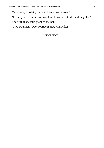"Good one, Einstein, that's not even how it goes."

"It is in your version. You wouldn't know how to do anything else."

And with that Justin grabbed the ball.

"Two-Fourteen! Two-Fourteen! Hut, Hut, Hike!"

# **THE END**